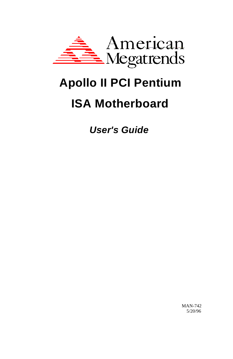

# **Apollo II PCI Pentium ISA Motherboard**

*User's Guide*

MAN-742 5/20/96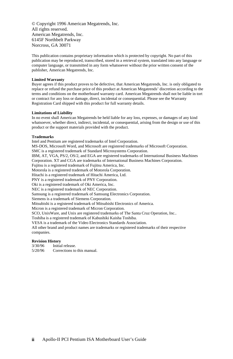© Copyright 1996 American Megatrends, Inc. All rights reserved. American Megatrends, Inc. 6145F Northbelt Parkway Norcross, GA 30071

This publication contains proprietary information which is protected by copyright. No part of this publication may be reproduced, transcribed, stored in a retrieval system, translated into any language or computer language, or transmitted in any form whatsoever without the prior written consent of the publisher, American Megatrends, Inc.

#### **Limited Warranty**

Buyer agrees if this product proves to be defective, that American Megatrends, Inc. is only obligated to replace or refund the purchase price of this product at American Megatrends' discretion according to the terms and conditions on the motherboard warranty card. American Megatrends shall not be liable in tort or contract for any loss or damage, direct, incidental or consequential. Please see the Warranty Registration Card shipped with this product for full warranty details.

#### **Limitations of Liability**

In no event shall American Megatrends be held liable for any loss, expenses, or damages of any kind whatsoever, whether direct, indirect, incidental, or consequential, arising from the design or use of this product or the support materials provided with the product.

#### **Trademarks**

Intel and Pentium are registered trademarks of Intel Corporation. MS-DOS, Microsoft Word, and Microsoft are registered trademarks of Microsoft Corporation. SMC is a registered trademark of Standard Microsystems Corporation. IBM, AT, VGA, PS/2, OS/2, and EGA are registered trademarks of International Business Machines Corporation. XT and CGA are trademarks of International Business Machines Corporation. Fujitsu is a registered trademark of Fujitsu America, Inc. Motorola is a registered trademark of Motorola Corporation. Hitachi is a registered trademark of Hitachi America, Ltd. PNY is a registered trademark of PNY Corporation. Oki is a registered trademark of Oki America, Inc. NEC is a registered trademark of NEC Corporation. Samsung is a registered trademark of Samsung Electronics Corporation. Siemens is a trademark of Siemens Corporation. Mitsubishi is a registered trademark of Mitsubishi Electronics of America. Micron is a registered trademark of Micron Corporation. SCO, UnixWare, and Unix are registered trademarks of The Santa Cruz Operation, Inc.. Toshiba is a registered trademark of Kabushiki Kaisha Toshiba. VESA is a trademark of the Video Electronics Standards Association. All other brand and product names are trademarks or registered trademarks of their respective companies.

## **Revision History**<br>3/30/96 **Initia**

Initial release.

5/20/96 Corrections to this manual.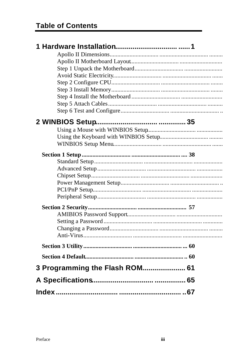| 3 Programming the Flash ROM 61 |
|--------------------------------|
|                                |
|                                |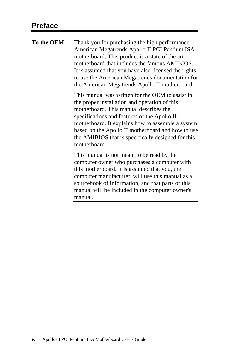**To the OEM** Thank you for purchasing the high performance American Megatrends Apollo II PCI Pentium ISA motherboard. This product is a state of the art motherboard that includes the famous AMIBIOS. It is assumed that you have also licensed the rights to use the American Megatrends documentation for the American Megatrends Apollo II motherboard This manual was written for the OEM to assist in the proper installation and operation of this motherboard. This manual describes the specifications and features of the Apollo II motherboard. It explains how to assemble a system based on the Apollo II motherboard and how to use the AMIBIOS that is specifically designed for this motherboard. This manual is not meant to be read by the computer owner who purchases a computer with this motherboard. It is assumed that you, the computer manufacturer, will use this manual as a sourcebook of information, and that parts of this manual will be included in the computer owner's

manual.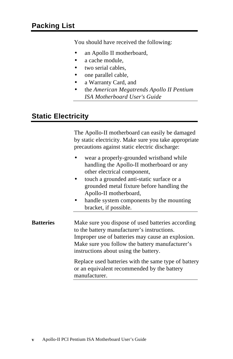You should have received the following:

- an Apollo II motherboard,
- a cache module.
- two serial cables,
- one parallel cable,
- a Warranty Card, and
- the *American Megatrends Apollo II Pentium ISA Motherboard User's Guide*.

## **Static Electricity**

The Apollo-II motherboard can easily be damaged by static electricity. Make sure you take appropriate precautions against static electric discharge:

- wear a properly-grounded wristband while handling the Apollo-II motherboard or any other electrical component,
- touch a grounded anti-static surface or a grounded metal fixture before handling the Apollo-II motherboard,
- handle system components by the mounting bracket, if possible.

**Batteries** Make sure you dispose of used batteries according to the battery manufacturer's instructions. Improper use of batteries may cause an explosion. Make sure you follow the battery manufacturer's instructions about using the battery.

Replace used batteries with the same type of battery or an equivalent recommended by the battery manufacturer.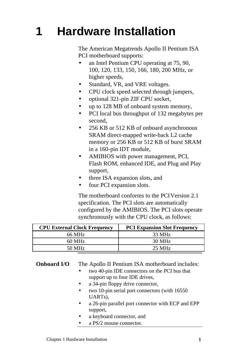# **1 Hardware Installation**

The American Megatrends Apollo II Pentium ISA PCI motherboard supports:

- an Intel Pentium CPU operating at 75, 90, 100, 120, 133, 150, 166, 180, 200 MHz, or higher speeds,
- Standard, VR, and VRE voltages.
- CPU clock speed selected through jumpers,
- optional 321-pin ZIF CPU socket,
- up to 128 MB of onboard system memory,
- PCI local bus throughput of 132 megabytes per second,
- 256 KB or 512 KB of onboard asynchronous SRAM direct-mapped write-back L2 cache memory or 256 KB or 512 KB of burst SRAM in a 160-pin IDT module,
- AMIBIOS with power management, PCI, Flash ROM, enhanced IDE, and Plug and Play support,
- three ISA expansion slots, and
- four PCI expansion slots.

The motherboard conforms to the PCI Version 2.1 specification. The PCI slots are automatically configured by the AMIBIOS. The PCI slots operate synchronously with the CPU clock, as follows:

| <b>CPU External Clock Frequency</b> | <b>PCI Expansion Slot Frequency</b> |
|-------------------------------------|-------------------------------------|
| 66 MHz                              | 33 MHz                              |
| $60 \text{ MHz}$                    | 30 MHz                              |
| 50 MHz                              | $25 \text{ MHz}$                    |

**Onboard I/O** The Apollo II Pentium ISA motherboard includes:

- two 40-pin IDE connectors on the PCI bus that support up to four IDE drives,
- a 34-pin floppy drive connector,
- two 10-pin serial port connectors (with 16550) UARTs),
- a 26-pin parallel port connector with ECP and EPP support,
- a keyboard connector, and
- a PS/2 mouse connector.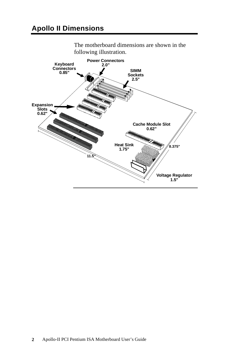

The motherboard dimensions are shown in the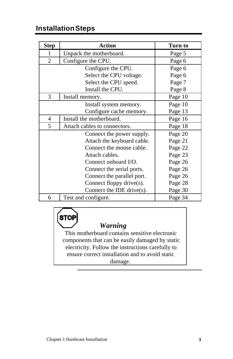# **Installation Steps**

| <b>Step</b>    | <b>Action</b>                 | Turn to |
|----------------|-------------------------------|---------|
| 1              | Unpack the motherboard.       | Page 5  |
| $\overline{2}$ | Configure the CPU.            | Page 6  |
|                | Configure the CPU.            | Page 6  |
|                | Select the CPU voltage.       | Page 6  |
|                | Select the CPU speed.         | Page 7  |
|                | Install the CPU.              | Page 8  |
| 3              | Install memory.               | Page 10 |
|                | Install system memory.        | Page 10 |
|                | Configure cache memory.       | Page 13 |
| 4              | Install the motherboard.      | Page 16 |
| 5              | Attach cables to connectors.  | Page 18 |
|                | Connect the power supply.     | Page 20 |
|                | Attach the keyboard cable.    | Page 21 |
|                | Connect the mouse cable.      | Page 22 |
|                | Attach cables.                | Page 23 |
|                | Connect onboard I/O.          | Page 26 |
|                | Connect the serial ports.     | Page 26 |
|                | Connect the parallel port.    | Page 26 |
|                | Connect floppy drive(s).      | Page 28 |
|                | Connect the IDE drive $(s)$ . | Page 30 |
| 6              | Test and configure.           | Page 34 |

**STOP** 

# *Warning*

This motherboard contains sensitive electronic components that can be easily damaged by static electricity. Follow the instructions carefully to ensure correct installation and to avoid static damage.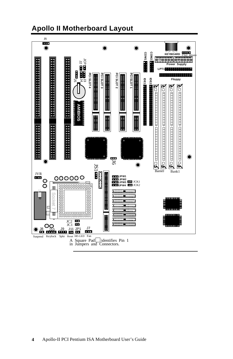

# **Apollo II Motherboard Layout**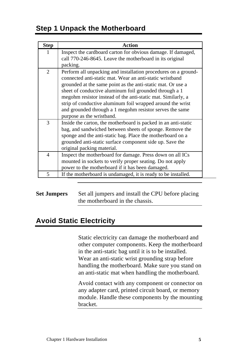# **Step 1 Unpack the Motherboard**

| <b>Step</b>    | Action                                                                                                                                                                                                                                                                                                                                                                                                                                                                     |
|----------------|----------------------------------------------------------------------------------------------------------------------------------------------------------------------------------------------------------------------------------------------------------------------------------------------------------------------------------------------------------------------------------------------------------------------------------------------------------------------------|
| 1              | Inspect the cardboard carton for obvious damage. If damaged,<br>call 770-246-8645. Leave the motherboard in its original<br>packing.                                                                                                                                                                                                                                                                                                                                       |
| 2              | Perform all unpacking and installation procedures on a ground-<br>connected anti-static mat. Wear an anti-static wristband<br>grounded at the same point as the anti-static mat. Or use a<br>sheet of conductive aluminum foil grounded through a 1<br>megohm resistor instead of the anti-static mat. Similarly, a<br>strip of conductive aluminum foil wrapped around the wrist<br>and grounded through a 1 megohm resistor serves the same<br>purpose as the wristband. |
| 3              | Inside the carton, the motherboard is packed in an anti-static<br>bag, and sandwiched between sheets of sponge. Remove the<br>sponge and the anti-static bag. Place the motherboard on a<br>grounded anti-static surface component side up. Save the<br>original packing material.                                                                                                                                                                                         |
| $\overline{4}$ | Inspect the motherboard for damage. Press down on all ICs<br>mounted in sockets to verify proper seating. Do not apply<br>power to the motherboard if it has been damaged.                                                                                                                                                                                                                                                                                                 |
| 5              | If the motherboard is undamaged, it is ready to be installed.                                                                                                                                                                                                                                                                                                                                                                                                              |

**Set Jumpers** Set all jumpers and install the CPU before placing the motherboard in the chassis.

# **Avoid Static Electricity**

Static electricity can damage the motherboard and other computer components. Keep the motherboard in the anti-static bag until it is to be installed. Wear an anti-static wrist grounding strap before handling the motherboard. Make sure you stand on an anti-static mat when handling the motherboard.

Avoid contact with any component or connector on any adapter card, printed circuit board, or memory module. Handle these components by the mounting bracket.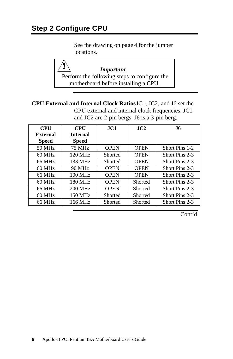See the drawing on page 4 for the jumper locations.

*Important* Perform the following steps to configure the motherboard before installing a CPU.

**CPU External and Internal Clock Ratios** JC1, JC2, and J6 set the CPU external and internal clock frequencies. JC1 and JC2 are 2-pin bergs. J6 is a 3-pin berg.

| <b>CPU</b>   | <b>CPU</b>      | JC1         | $\bf{J}C2$  | .I6            |
|--------------|-----------------|-------------|-------------|----------------|
| External     | <b>Internal</b> |             |             |                |
| <b>Speed</b> | Speed           |             |             |                |
| 50 MHz       | 75 MHz          | <b>OPEN</b> | <b>OPEN</b> | Short Pins 1-2 |
| 60 MHz       | 120 MHz         | Shorted     | <b>OPEN</b> | Short Pins 2-3 |
| 66 MHz       | 133 MHz         | Shorted     | <b>OPEN</b> | Short Pins 2-3 |
| $60$ MHz     | 90 MHz          | <b>OPEN</b> | <b>OPEN</b> | Short Pins 2-3 |
| 66 MHz       | $100$ MHz       | <b>OPEN</b> | <b>OPEN</b> | Short Pins 2-3 |
| $60$ MHz     | 180 MHz         | <b>OPEN</b> | Shorted     | Short Pins 2-3 |
| 66 MHz       | 200 MHz         | <b>OPEN</b> | Shorted     | Short Pins 2-3 |
| 60 MHz       | 150 MHz         | Shorted     | Shorted     | Short Pins 2-3 |
| 66 MHz       | 166 MHz         | Shorted     | Shorted     | Short Pins 2-3 |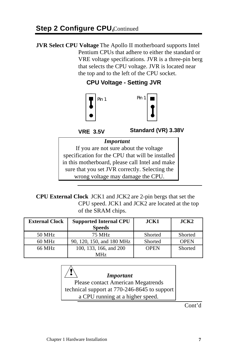**JVR Select CPU Voltage** The Apollo II motherboard supports Intel Pentium CPUs that adhere to either the standard or VRE voltage specifications. JVR is a three-pin berg that selects the CPU voltage. JVR is located near the top and to the left of the CPU socket.

**CPU Voltage - Setting JVR**



**VRE 3.5V**

**Standard (VR) 3.38V**

### *Important*

If you are not sure about the voltage specification for the CPU that will be installed in this motherboard, please call Intel and make sure that you set JVR correctly. Selecting the wrong voltage may damage the CPU.

**CPU External Clock** JCK1 and JCK2 are 2-pin bergs that set the CPU speed. JCK1 and JCK2 are located at the top of the SRAM chips.

| <b>External Clock</b> | <b>Supported Internal CPU</b> | JCK1        | ~ <sub>ICK2</sub> |
|-----------------------|-------------------------------|-------------|-------------------|
|                       | <b>Speeds</b>                 |             |                   |
| 50 MHz                | 75 MHz                        | Shorted     | Shorted           |
| 60 MHz                | 90, 120, 150, and 180 MHz     | Shorted     | <b>OPEN</b>       |
| 66 MHz                | 100, 133, 166, and 200        | <b>OPEN</b> | Shorted           |
|                       | MH <sub>z</sub>               |             |                   |

*Important* Please contact American Megatrends technical support at 770-246-8645 to support a CPU running at a higher speed.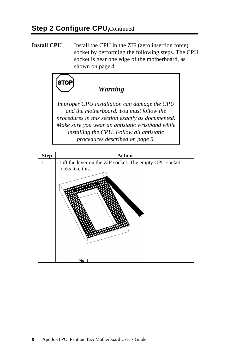**Install CPU** Install the CPU in the ZIF (zero insertion force) socket by performing the following steps. The CPU socket is near one edge of the motherboard, as shown on page 4.



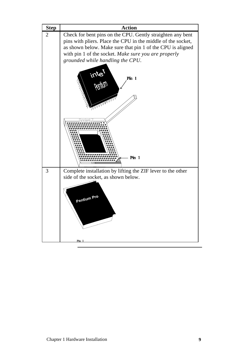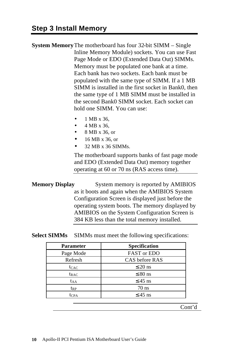**System Memory**The motherboard has four 32-bit SIMM – Single Inline Memory Module) sockets. You can use Fast Page Mode or EDO (Extended Data Out) SIMMs. Memory must be populated one bank at a time. Each bank has two sockets. Each bank must be populated with the same type of SIMM. If a 1 MB SIMM is installed in the first socket in Bank0, then the same type of 1 MB SIMM must be installed in the second Bank0 SIMM socket. Each socket can hold one SIMM. You can use:

- 1 MB x 36,
- 4 MB x 36,
- 8 MB x 36, or
- 16 MB x 36, or
- 32 MB x 36 SIMMs.

The motherboard supports banks of fast page mode and EDO (Extended Data Out) memory together operating at 60 or 70 ns (RAS access time).

**Memory Display** System memory is reported by AMIBIOS as it boots and again when the AMIBIOS System Configuration Screen is displayed just before the operating system boots. The memory displayed by AMIBIOS on the System Configuration Screen is 384 KB less than the total memory installed.

#### **Select SIMMs** SIMMs must meet the following specifications:

| <b>Specification</b> |
|----------------------|
| <b>FAST or EDO</b>   |
| CAS before RAS       |
| $\leq$ 20 ns         |
| $\leq 80$ ns         |
| $\leq$ 45 ns         |
| $70$ ns              |
| $\leq$ 45 ns         |
|                      |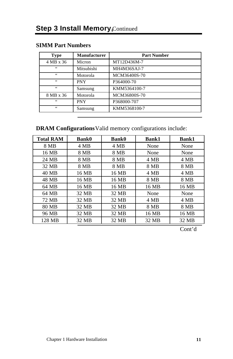| <b>Type</b> | <b>Manufacturer</b> | <b>Part Number</b> |
|-------------|---------------------|--------------------|
| 4 MB x 36   | Micron              | MT12D436M-7        |
| 66          | Mitsubishi          | MH4M36SAJ-7        |
| 66          | Motorola            | MCM36400S-70       |
| 66          | <b>PNY</b>          | P364000-70         |
| 66          | Samsung             | KMM5364100-7       |
| 8 MB x 36   | Motorola            | MCM36800S-70       |
| 66          | PNY                 | P368000-707        |
| 66          | Samsung             | KMM5368100-7       |

## **SIMM Part Numbers**

## **DRAM Configurations** Valid memory configurations include:

| <b>Total RAM</b> | <b>Bank0</b> | <b>Bank0</b> | <b>Bank1</b> | <b>Bank1</b> |
|------------------|--------------|--------------|--------------|--------------|
| 8 MB             | 4 MB         | 4 MB         | None         | None         |
| 16 MB            | 8 MB         | 8 MB         | None         | None         |
| 24 MB            | 8 MB         | 8 MB         | 4 MB         | 4 MB         |
| 32 MB            | 8 MB         | 8 MB         | 8 MB         | 8 MB         |
| 40 MB            | 16 MB        | 16 MB        | 4 MB         | 4 MB         |
| 48 MB            | 16 MB        | 16 MB        | 8 MB         | 8 MB         |
| 64 MB            | 16 MB        | 16 MB        | 16 MB        | 16 MB        |
| 64 MB            | 32 MB        | 32 MB        | None         | None         |
| 72 MB            | 32 MB        | 32 MB        | 4 MB         | 4 MB         |
| 80 MB            | 32 MB        | 32 MB        | 8 MB         | 8 MB         |
| 96 MB            | 32 MB        | 32 MB        | 16 MB        | 16 MB        |
| 128 MB           | 32 MB        | 32 MB        | 32 MB        | 32 MB        |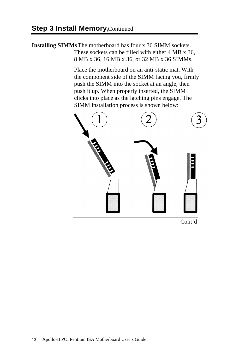**Installing SIMMs**The motherboard has four x 36 SIMM sockets. These sockets can be filled with either 4 MB x 36, 8 MB x 36, 16 MB x 36, or 32 MB x 36 SIMMs.

> Place the motherboard on an anti-static mat. With the component side of the SIMM facing you, firmly push the SIMM into the socket at an angle, then push it up. When properly inserted, the SIMM clicks into place as the latching pins engage. The SIMM installation process is shown below:



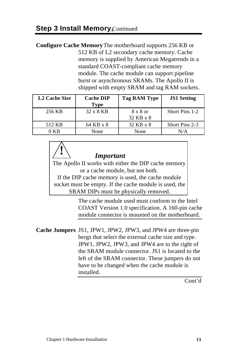**!**

**Configure Cache Memory** The motherboard supports 256 KB or 512 KB of L2 secondary cache memory. Cache memory is supplied by American Megatrends in a standard COAST-compliant cache memory module. The cache module can support pipeline burst or asynchronous SRAMs. The Apollo II is shipped with empty SRAM and tag RAM sockets.

| <b>L2 Cache Size</b> | <b>Cache DIP</b><br><b>Type</b> | <b>Tag RAM Type</b>   | <b>JS1 Setting</b> |
|----------------------|---------------------------------|-----------------------|--------------------|
| 256 KB               | 32 x 8 KB                       | 8 x 8 or<br>32 KB x 8 | Short Pins 1-2     |
| 512 KB               | 64 KB x 8                       | 32 KB x 8             | Short Pins 2-3     |
| 0 KB                 | None                            | None                  | N/A                |

*Important* The Apollo II works with either the DIP cache memory or a cache module, but not both. If the DIP cache memory is used, the cache module socket must be empty. If the cache module is used, the

SRAM DIPs must be physically removed.

The cache module used must conform to the Intel COAST Version 1.0 specification. A 160-pin cache module connector is mounted on the motherboard.

**Cache Jumpers** JS1, JPW1, JPW2, JPW3, and JPW4 are three-pin bergs that select the external cache size and type. JPW1, JPW2, JPW3, and JPW4 are to the right of the SRAM module connector. JS1 is located to the left of the SRAM connector. These jumpers do not have to be changed when the cache module is installed.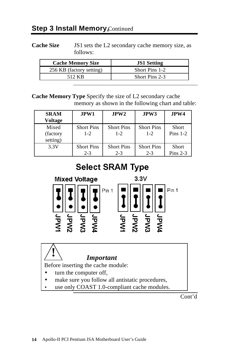Cache Size **JS1** sets the L2 secondary cache memory size, as follows:

| <b>Cache Memory Size</b> | <b>JS1 Setting</b> |
|--------------------------|--------------------|
| 256 KB (factory setting) | Short Pins 1-2     |
| 512 KB                   | Short Pins 2-3     |

**Cache Memory Type** Specify the size of L2 secondary cache memory as shown in the following chart and table:

| <b>SRAM</b><br>Voltage         | JPW1                         | JPW2                         | JPW3                         | JPW4                |
|--------------------------------|------------------------------|------------------------------|------------------------------|---------------------|
| Mixed<br>(factory)<br>setting) | <b>Short Pins</b><br>$1-2$   | <b>Short Pins</b><br>$1 - 2$ | <b>Short Pins</b><br>$1 - 2$ | Short<br>Pins $1-2$ |
| 3.3V                           | <b>Short Pins</b><br>$2 - 3$ | <b>Short Pins</b><br>$2 - 3$ | <b>Short Pins</b><br>$2 - 3$ | Short<br>Pins $2-3$ |

# **Select SRAM Type**



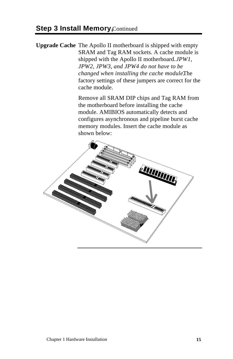**Upgrade Cache** The Apollo II motherboard is shipped with empty SRAM and Tag RAM sockets. A cache module is shipped with the Apollo II motherboard. *JPW1, JPW2, JPW3, and JPW4 do not have to be changed when installing the cache module.* The factory settings of these jumpers are correct for the cache module.

> Remove all SRAM DIP chips and Tag RAM from the motherboard before installing the cache module. AMIBIOS automatically detects and configures asynchronous and pipeline burst cache memory modules. Insert the cache module as shown below:

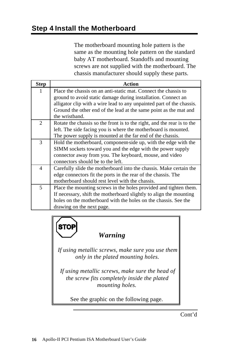The motherboard mounting hole pattern is the same as the mounting hole pattern on the standard baby AT motherboard. Standoffs and mounting screws are not supplied with the motherboard. The chassis manufacturer should supply these parts.

| <b>Step</b>    | Action                                                                  |  |  |  |  |  |
|----------------|-------------------------------------------------------------------------|--|--|--|--|--|
| 1              | Place the chassis on an anti-static mat. Connect the chassis to         |  |  |  |  |  |
|                | ground to avoid static damage during installation. Connect an           |  |  |  |  |  |
|                | alligator clip with a wire lead to any unpainted part of the chassis.   |  |  |  |  |  |
|                | Ground the other end of the lead at the same point as the mat and       |  |  |  |  |  |
|                | the wristband.                                                          |  |  |  |  |  |
| 2              | Rotate the chassis so the front is to the right, and the rear is to the |  |  |  |  |  |
|                | left. The side facing you is where the motherboard is mounted.          |  |  |  |  |  |
|                | The power supply is mounted at the far end of the chassis.              |  |  |  |  |  |
| 3              | Hold the motherboard, component-side up, with the edge with the         |  |  |  |  |  |
|                | SIMM sockets toward you and the edge with the power supply              |  |  |  |  |  |
|                | connector away from you. The keyboard, mouse, and video                 |  |  |  |  |  |
|                | connectors should be to the left.                                       |  |  |  |  |  |
| $\overline{4}$ | Carefully slide the motherboard into the chassis. Make certain the      |  |  |  |  |  |
|                | edge connectors fit the ports in the rear of the chassis. The           |  |  |  |  |  |
|                | motherboard should rest level with the chassis.                         |  |  |  |  |  |
| 5              | Place the mounting screws in the holes provided and tighten them.       |  |  |  |  |  |
|                | If necessary, shift the motherboard slightly to align the mounting      |  |  |  |  |  |
|                | holes on the motherboard with the holes on the chassis. See the         |  |  |  |  |  |
|                | drawing on the next page.                                               |  |  |  |  |  |



# *Warning*

*If using metallic screws, make sure you use them only in the plated mounting holes.*

*If using metallic screws, make sure the head of the screw fits completely inside the plated mounting holes.*

See the graphic on the following page.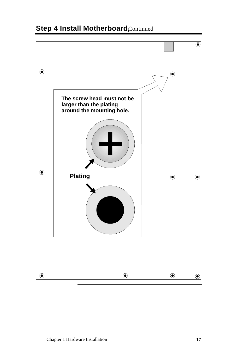

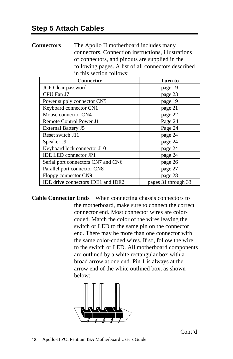**Connectors** The Apollo II motherboard includes many connectors. Connection instructions, illustrations of connectors, and pinouts are supplied in the following pages. A list of all connectors described in this section follows:

| <b>Connector</b>                   | Turn to             |
|------------------------------------|---------------------|
| JCP Clear password                 | page 19             |
| CPU Fan J7                         | page 23             |
| Power supply connector CN5         | page 19             |
| Keyboard connector CN1             | page 21             |
| Mouse connector CN4                | page 22             |
| Remote Control Power J1            | Page 24             |
| <b>External Battery J5</b>         | Page 24             |
| Reset switch J11                   | page 24             |
| Speaker J9                         | page 24             |
| Keyboard lock connector J10        | page 24             |
| <b>IDE LED</b> connector JP1       | page 24             |
| Serial port connectors CN7 and CN6 | page 26             |
| Parallel port connector CN8        | page 27             |
| Floppy connector CN9               | page 28             |
| IDE drive connectors IDE1 and IDE2 | pages 31 through 33 |

**Cable Connector Ends** When connecting chassis connectors to the motherboard, make sure to connect the correct connector end. Most connector wires are colorcoded. Match the color of the wires leaving the switch or LED to the same pin on the connector end. There may be more than one connector with the same color-coded wires. If so, follow the wire to the switch or LED. All motherboard components are outlined by a white rectangular box with a broad arrow at one end. Pin 1 is always at the arrow end of the white outlined box, as shown below:

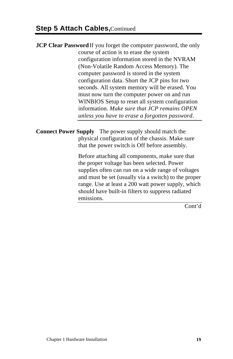**JCP Clear Password** If you forget the computer password, the only course of action is to erase the system configuration information stored in the NVRAM (Non-Volatile Random Access Memory). The computer password is stored in the system configuration data. Short the JCP pins for two seconds. All system memory will be erased. You must now turn the computer power on and run WINBIOS Setup to reset all system configuration information. *Make sure that JCP remains OPEN unless you have to erase a forgotten password.*

**Connect Power Supply** The power supply should match the physical configuration of the chassis. Make sure that the power switch is Off before assembly.

> Before attaching all components, make sure that the proper voltage has been selected. Power supplies often can run on a wide range of voltages and must be set (usually via a switch) to the proper range. Use at least a 200 watt power supply, which should have built-in filters to suppress radiated emissions.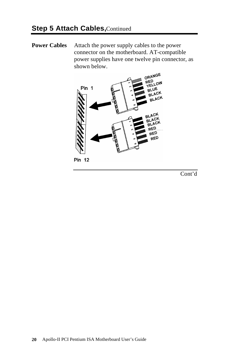**Power Cables** Attach the power supply cables to the power connector on the motherboard. AT-compatible power supplies have one twelve pin connector, as shown below.



**Pin 12**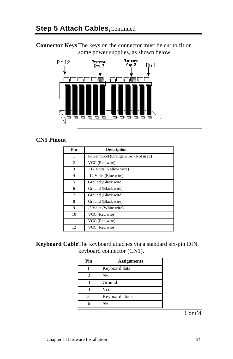**Connector Keys** The keys on the connector must be cut to fit on some power supplies, as shown below.



## **CN5 Pinout**

| Pin            | <b>Description</b>                  |
|----------------|-------------------------------------|
| 1              | Power Good (Orange wire) (Not used) |
| 2              | VCC (Red wire)                      |
| 3              | +12 Volts (Yellow wire)             |
| $\overline{4}$ | -12 Volts (Blue wire)               |
| 5              | Ground (Black wire)                 |
| 6              | Ground (Black wire)                 |
| 7              | Ground (Black wire)                 |
| 8              | Ground (Black wire)                 |
| 9              | -5 Volts (White wire)               |
| 10             | VCC (Red wire)                      |
| 11             | VCC (Red wire)                      |
| 12             | VCC (Red wire)                      |

## **Keyboard Cable**The keyboard attaches via a standard six-pin DIN keyboard connector (CN1).

| Pin | <b>Assignments</b> |  |  |
|-----|--------------------|--|--|
|     | Keyboard data      |  |  |
| 2   | N/C                |  |  |
| 3   | Ground             |  |  |
|     | Vcc                |  |  |
|     | Keyboard clock     |  |  |
|     | N/C                |  |  |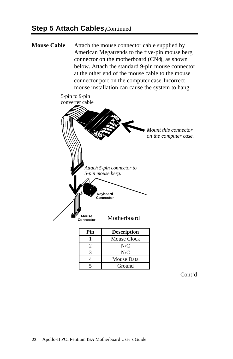**Mouse Cable** Attach the mouse connector cable supplied by American Megatrends to the five-pin mouse berg connector on the motherboard (CN4), as shown below. Attach the standard 9-pin mouse connector at the other end of the mouse cable to the mouse connector port on the computer case. Incorrect mouse installation can cause the system to hang.



Cont'd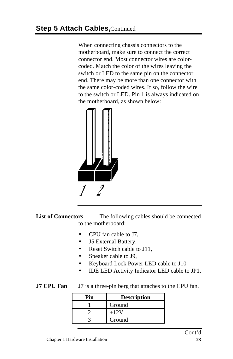When connecting chassis connectors to the motherboard, make sure to connect the correct connector end. Most connector wires are colorcoded. Match the color of the wires leaving the switch or LED to the same pin on the connector end. There may be more than one connector with the same color-coded wires. If so, follow the wire to the switch or LED. Pin 1 is always indicated on the motherboard, as shown below:



List of Connectors The following cables should be connected to the motherboard:

- CPU fan cable to J7,
- J5 External Battery,
- **Reset Switch cable to J11.**
- Speaker cable to J9,
- Keyboard Lock Power LED cable to J10
- IDE LED Activity Indicator LED cable to JP1.

## **J7 CPU Fan** J7 is a three-pin berg that attaches to the CPU fan.

| Pin | <b>Description</b> |  |
|-----|--------------------|--|
|     | Ground             |  |
|     | $+12V$             |  |
|     | Ground             |  |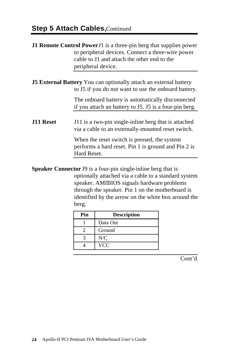## **Step 5 Attach Cables, Continued**

|                  | J1 Remote Control Power J1 is a three-pin berg that supplies power<br>to peripheral devices. Connect a three-wire power<br>cable to J1 and attach the other end to the<br>peripheral device.                                                                                                              |  |  |
|------------------|-----------------------------------------------------------------------------------------------------------------------------------------------------------------------------------------------------------------------------------------------------------------------------------------------------------|--|--|
|                  | <b>J5 External Battery</b> You can optionally attach an external battery<br>to J5 if you do not want to use the onboard battery.                                                                                                                                                                          |  |  |
|                  | The onboard battery is automatically disconnected<br>if you attach an battery to J5. J5 is a four-pin berg.                                                                                                                                                                                               |  |  |
| <b>J11 Reset</b> | J11 is a two-pin single-inline berg that is attached<br>via a cable to an externally-mounted reset switch.                                                                                                                                                                                                |  |  |
|                  | When the reset switch is pressed, the system<br>performs a hard reset. Pin 1 is ground and Pin 2 is<br>Hard Reset.                                                                                                                                                                                        |  |  |
|                  | <b>Speaker Connector J9</b> is a four-pin single-inline berg that is<br>$\mathbf{A}$ , and a set of the set of the set of the set of the set of the set of the set of the set of the set of the set of the set of the set of the set of the set of the set of the set of the set of the set of the set of |  |  |

optionally attached via a cable to a standard system speaker. AMIBIOS signals hardware problems through the speaker. Pin 1 on the motherboard is identified by the arrow on the white box around the berg.

| Pin | <b>Description</b> |  |  |
|-----|--------------------|--|--|
|     | Data Out           |  |  |
|     | Ground             |  |  |
|     | N/C                |  |  |
|     | <b>VCC</b>         |  |  |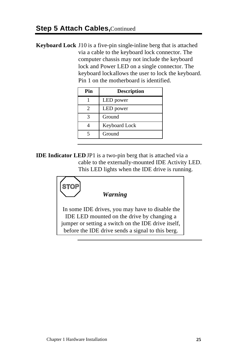**Keyboard Lock** J10 is a five-pin single-inline berg that is attached via a cable to the keyboard lock connector. The computer chassis may not include the keyboard lock and Power LED on a single connector. The keyboard lock allows the user to lock the keyboard. Pin 1 on the motherboard is identified.

| Pin | <b>Description</b> |  |  |
|-----|--------------------|--|--|
|     | LED power          |  |  |
| 2   | LED power          |  |  |
|     | Ground             |  |  |
|     | Keyboard Lock      |  |  |
|     | Ground             |  |  |

**IDE Indicator LED** JP1 is a two-pin berg that is attached via a cable to the externally-mounted IDE Activity LED. This LED lights when the IDE drive is running.

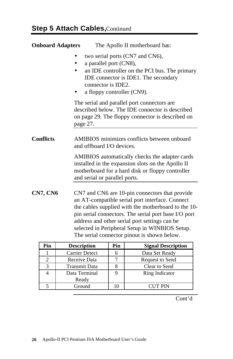| <b>Onboard Adapters</b> | The Apollo II motherboard has:                                                                                                                                                                                                                                    |
|-------------------------|-------------------------------------------------------------------------------------------------------------------------------------------------------------------------------------------------------------------------------------------------------------------|
|                         | two serial ports (CN7 and CN6),<br>a parallel port (CN8),<br>an IDE controller on the PCI bus. The primary<br>IDE connector is IDE1. The secondary<br>connector is IDE2.<br>a floppy controller (CN9).                                                            |
|                         | The serial and parallel port connectors are<br>described below. The IDE connector is described<br>on page 29. The floppy connector is described on<br>page 27.                                                                                                    |
| <b>Conflicts</b>        | AMIBIOS minimizes conflicts between onboard<br>and offboard I/O devices.                                                                                                                                                                                          |
|                         | AMIBIOS automatically checks the adapter cards<br>installed in the expansion slots on the Apollo II<br>motherboard for a hard disk or floppy controller<br>and serial or parallel ports.                                                                          |
| <b>CN7, CN6</b>         | CN7 and CN6 are 10-pin connectors that provide<br>an AT-compatible serial port interface. Connect<br>the cables supplied with the motherboard to the 10-<br>pin serial connectors. The serial port base I/O port<br>address and other serial port settings can be |

| Pin | <b>Description</b>    | Pin | <b>Signal Description</b> |
|-----|-----------------------|-----|---------------------------|
|     | <b>Carrier Detect</b> |     | Data Set Ready            |
|     | Receive Data          |     | Request to Send           |
|     | <b>Transmit Data</b>  |     | Clear to Send             |
|     | Data Terminal         |     | Ring Indicator            |
|     | Ready                 |     |                           |
|     | Ground                |     | CUT PIN                   |

selected in Peripheral Setup in WINBIOS Setup. The serial connector pinout is shown below.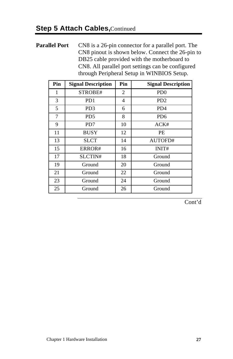## **Parallel Port** CN8 is a 26-pin connector for a parallel port. The CN8 pinout is shown below. Connect the 26-pin to DB25 cable provided with the motherboard to CN8. All parallel port settings can be configured through Peripheral Setup in WINBIOS Setup.

| Pin | <b>Signal Description</b> | Pin | <b>Signal Description</b>   |
|-----|---------------------------|-----|-----------------------------|
| 1   | STROBE#                   | 2   | P <sub>D</sub> <sub>0</sub> |
| 3   | PD <sub>1</sub>           | 4   | P <sub>D</sub> <sub>2</sub> |
| 5   | PD <sub>3</sub>           | 6   | P <sub>D</sub> <sub>4</sub> |
| 7   | P <sub>D5</sub>           | 8   | P <sub>D</sub> <sub>6</sub> |
| 9   | PD7                       | 10  | ACK#                        |
| 11  | <b>BUSY</b>               | 12  | <b>PE</b>                   |
| 13  | SLCT                      | 14  | AUTOFD#                     |
| 15  | ERROR#                    | 16  | INIT#                       |
| 17  | SLCTIN#                   | 18  | Ground                      |
| 19  | Ground                    | 20  | Ground                      |
| 21  | Ground                    | 22  | Ground                      |
| 23  | Ground                    | 24  | Ground                      |
| 25  | Ground                    | 26  | Ground                      |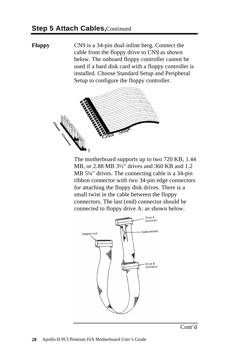**Floppy** CN9 is a 34-pin dual-inline berg. Connect the cable from the floppy drive to CN9 as shown below. The onboard floppy controller cannot be used if a hard disk card with a floppy controller is installed. Choose Standard Setup and Peripheral Setup to configure the floppy controller.



The motherboard supports up to two 720 KB, 1.44 MB, or 2.88 MB 3½" drives and 360 KB and 1.2 MB 5¼" drives. The connecting cable is a 34-pin ribbon connector with two 34-pin edge connectors for attaching the floppy disk drives. There is a small twist in the cable between the floppy connectors. The last (end) connector should be connected to floppy drive A: as shown below.

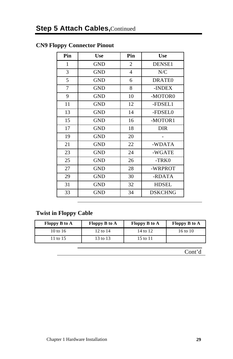## **CN9 Floppy Connector Pinout**

| Pin          | <b>Use</b> | Pin            | <b>Use</b>         |
|--------------|------------|----------------|--------------------|
| $\mathbf{1}$ | <b>GND</b> | $\overline{2}$ | DENSE1             |
| 3            | <b>GND</b> | $\overline{4}$ | N/C                |
| 5            | <b>GND</b> | 6              | DRATE <sub>0</sub> |
| 7            | <b>GND</b> | 8              | -INDEX             |
| 9            | <b>GND</b> | 10             | -MOTOR0            |
| 11           | <b>GND</b> | 12             | -FDSEL1            |
| 13           | <b>GND</b> | 14             | -FDSEL0            |
| 15           | <b>GND</b> | 16             | -MOTOR1            |
| 17           | <b>GND</b> | 18             | DIR                |
| 19           | <b>GND</b> | 20             |                    |
| 21           | <b>GND</b> | 22             | -WDATA             |
| 23           | <b>GND</b> | 24             | -WGATE             |
| 25           | <b>GND</b> | 26             | $-TRK0$            |
| 27           | GND        | 28             | -WRPROT            |
| 29           | GND        | 30             | -RDATA             |
| 31           | <b>GND</b> | 32             | <b>HDSEL</b>       |
| 33           | <b>GND</b> | 34             | <b>DSKCHNG</b>     |

## **Twist in Floppy Cable**

| Floppy B to A | <b>Floppy B to A</b> | Floppy B to A | <b>Floppy B to A</b> |
|---------------|----------------------|---------------|----------------------|
| 10 to 16      | 12 to 14             | 14 to 12      | 16 to 10             |
| 11 to 15      | 13 to 13             | 15 to 11      |                      |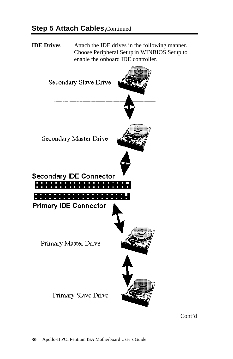**IDE Drives** Attach the IDE drives in the following manner. Choose Peripheral Setup in WINBIOS Setup to enable the onboard IDE controller.

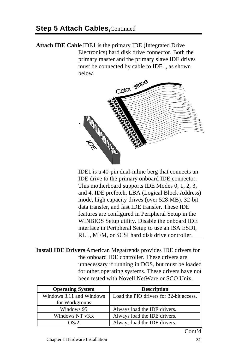**Attach IDE Cable** IDE1 is the primary IDE (Integrated Drive Electronics) hard disk drive connector. Both the primary master and the primary slave IDE drives must be connected by cable to IDE1, as shown below.



IDE1 is a 40-pin dual-inline berg that connects an IDE drive to the primary onboard IDE connector. This motherboard supports IDE Modes 0, 1, 2, 3, and 4, IDE prefetch, LBA (Logical Block Address) mode, high capacity drives (over 528 MB), 32-bit data transfer, and fast IDE transfer. These IDE features are configured in Peripheral Setup in the WINBIOS Setup utility. Disable the onboard IDE interface in Peripheral Setup to use an ISA ESDI, RLL, MFM, or SCSI hard disk drive controller.

**Install IDE Drivers** American Megatrends provides IDE drivers for the onboard IDE controller. These drivers are unnecessary if running in DOS, but must be loaded for other operating systems. These drivers have not been tested with Novell NetWare or SCO Unix.

| <b>Operating System</b>  | <b>Description</b>                      |  |
|--------------------------|-----------------------------------------|--|
| Windows 3.11 and Windows | Load the PIO drivers for 32-bit access. |  |
| for Workgroups           |                                         |  |
| Windows 95               | Always load the IDE drivers.            |  |
| Windows NT v3.x          | Always load the IDE drivers.            |  |
| $\Omega S/2$             | Always load the IDE drivers.            |  |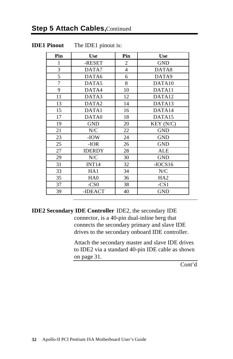#### **IDE1 Pinout** The IDE1 pinout is:

| Pin | Use               | Pin            | Use                |
|-----|-------------------|----------------|--------------------|
| 1   | -RESET            | 2              | <b>GND</b>         |
| 3   | DATA7             | $\overline{4}$ | DATA8              |
| 5   | DATA6             | 6              | DATA9              |
| 7   | DATA5             | 8              | DATA <sub>10</sub> |
| 9   | DATA4             | 10             | DATA11             |
| 11  | DATA3             | 12             | DATA12             |
| 13  | DATA <sub>2</sub> | 14             | DATA <sub>13</sub> |
| 15  | DATA1             | 16             | DATA14             |
| 17  | DATA0             | 18             | DATA15             |
| 19  | <b>GND</b>        | 20             | KEY (N/C)          |
| 21  | N/C               | 22             | <b>GND</b>         |
| 23  | -IOW              | 24             | <b>GND</b>         |
| 25  | -IOR              | 26             | <b>GND</b>         |
| 27  | <b>IDERDY</b>     | 28             | ALE                |
| 29  | N/C               | 30             | <b>GND</b>         |
| 31  | INT14             | 32             | $-IOCS16$          |
| 33  | HA1               | 34             | N/C                |
| 35  | HA0               | 36             | HA2                |
| 37  | $-CS0$            | 38             | $-CS1$             |
| 39  | -IDEACT           | 40             | <b>GND</b>         |

**IDE2 Secondary IDE Controller** IDE2, the secondary IDE connector, is a 40-pin dual-inline berg that connects the secondary primary and slave IDE drives to the secondary onboard IDE controller.

> Attach the secondary master and slave IDE drives to IDE2 via a standard 40-pin IDE cable as shown on page 31.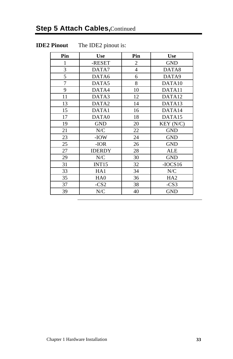# **Step 5 Attach Cables, Continued**

#### **IDE2 Pinout** The IDE2 pinout is:

| Pin | <b>Use</b>        | Pin            | <b>Use</b>         |  |
|-----|-------------------|----------------|--------------------|--|
| 1   | -RESET            | 2              | <b>GND</b>         |  |
| 3   | DATA7             | $\overline{4}$ | DATA8              |  |
| 5   | DATA6             | 6              | DATA9              |  |
| 7   | DATA5             | 8              | DATA10             |  |
| 9   | DATA4             | 10             | DATA <sub>11</sub> |  |
| 11  | DATA3             | 12             | DATA12             |  |
| 13  | DATA <sub>2</sub> | 14             | DATA13             |  |
| 15  | DATA1             | 16             | DATA14             |  |
| 17  | DATA0             | 18             | DATA15             |  |
| 19  | <b>GND</b>        | 20             | KEY (N/C)          |  |
| 21  | N/C               | 22             | <b>GND</b>         |  |
| 23  | -IOW              | 24             | <b>GND</b>         |  |
| 25  | $-IOR$            | 26             | <b>GND</b>         |  |
| 27  | <b>IDERDY</b>     | 28             | <b>ALE</b>         |  |
| 29  | N/C               | 30             | <b>GND</b>         |  |
| 31  | INT15             | 32             | $-IOCS16$          |  |
| 33  | HA1               | 34             | N/C                |  |
| 35  | HA <sub>0</sub>   | 36             | HA <sub>2</sub>    |  |
| 37  | $-CS2$            | 38             | $-CS3$             |  |
| 39  | N/C               | 40             | <b>GND</b>         |  |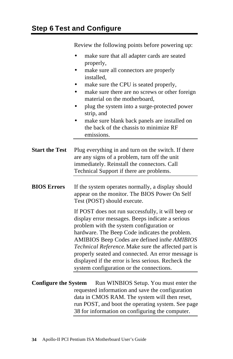Review the following points before powering up:

- make sure that all adapter cards are seated properly,
- make sure all connectors are properly installed,
- make sure the CPU is seated properly,
- make sure there are no screws or other foreign material on the motherboard,
- plug the system into a surge-protected power strip, and
- make sure blank back panels are installed on the back of the chassis to minimize RF emissions.
- **Start the Test** Plug everything in and turn on the switch. If there are any signs of a problem, turn off the unit immediately. Reinstall the connectors. Call Technical Support if there are problems.
- **BIOS Errors** If the system operates normally, a display should appear on the monitor. The BIOS Power On Self Test (POST) should execute.

If POST does not run successfully, it will beep or display error messages. Beeps indicate a serious problem with the system configuration or hardware. The Beep Code indicates the problem. AMIBIOS Beep Codes are defined in *the AMIBIOS Technical Reference.* Make sure the affected part is properly seated and connected. An error message is displayed if the error is less serious. Recheck the system configuration or the connections.

**Configure the System** Run WINBIOS Setup. You must enter the requested information and save the configuration data in CMOS RAM. The system will then reset, run POST, and boot the operating system. See page 38 for information on configuring the computer.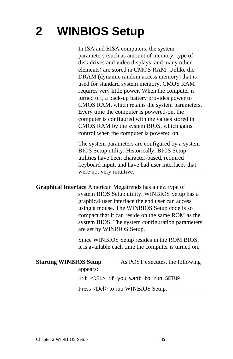# **2 WINBIOS Setup**

In ISA and EISA computers, the system parameters (such as amount of memory, type of disk drives and video displays, and many other elements) are stored in CMOS RAM. Unlike the DRAM (dynamic random access memory) that is used for standard system memory, CMOS RAM requires very little power. When the computer is turned off, a back-up battery provides power to CMOS RAM, which retains the system parameters. Every time the computer is powered-on, the computer is configured with the values stored in CMOS RAM by the system BIOS, which gains control when the computer is powered on.

The system parameters are configured by a system BIOS Setup utility. Historically, BIOS Setup utilities have been character-based, required keyboard input, and have had user interfaces that were not very intuitive.

**Graphical Interface** American Megatrends has a new type of system BIOS Setup utility. WINBIOS Setup has a graphical user interface the end user can access using a mouse. The WINBIOS Setup code is so compact that it can reside on the same ROM as the system BIOS. The system configuration parameters are set by WINBIOS Setup.

> Since WINBIOS Setup resides in the ROM BIOS, it is available each time the computer is turned on.

### **Starting WINBIOS Setup** As POST executes, the following appears: Hit <DEL> if you want to run SETUP

Press <Del> to run WINBIOS Setup.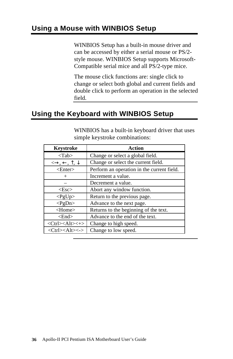### **Using a Mouse with WINBIOS Setup**

WINBIOS Setup has a built-in mouse driver and can be accessed by either a serial mouse or PS/2 style mouse. WINBIOS Setup supports Microsoft-Compatible serial mice and all PS/2-type mice.

The mouse click functions are: single click to change or select both global and current fields and double click to perform an operation in the selected field.

## **Using the Keyboard with WINBIOS Setup**

| Keystroke                                                         | <b>Action</b>                              |
|-------------------------------------------------------------------|--------------------------------------------|
| $<$ Tab $>$                                                       | Change or select a global field.           |
| $\leftrightarrow$ , $\leftarrow$ , $\uparrow$ , $\downarrow$      | Change or select the current field.        |
| $<$ Enter $>$                                                     | Perform an operation in the current field. |
| $^{+}$                                                            | Increment a value.                         |
|                                                                   | Decrement a value.                         |
| $<\!\!Esc\!\!>$                                                   | Abort any window function.                 |
| $<$ PgUp $>$                                                      | Return to the previous page.               |
| $<$ PgDn>                                                         | Advance to the next page.                  |
| <home></home>                                                     | Returns to the beginning of the text.      |
| $\leq$ End $>$                                                    | Advance to the end of the text.            |
| $\langle 2 \rangle$ < Ctrl> $\langle 2 \rangle$                   | Change to high speed.                      |
| $\langle Ctr\right]\rangle$ $\langle Alt\rangle \langle -\rangle$ | Change to low speed.                       |

WINBIOS has a built-in keyboard driver that uses simple keystroke combinations: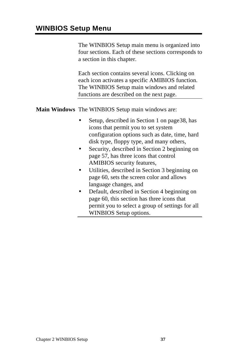The WINBIOS Setup main menu is organized into four sections. Each of these sections corresponds to a section in this chapter.

Each section contains several icons. Clicking on each icon activates a specific AMIBIOS function. The WINBIOS Setup main windows and related functions are described on the next page.

**Main Windows** The WINBIOS Setup main windows are:

- Setup, described in Section 1 on page 38, has icons that permit you to set system configuration options such as date, time, hard disk type, floppy type, and many others,
- Security, described in Section 2 beginning on page 57, has three icons that control AMIBIOS security features,
- Utilities, described in Section 3 beginning on page 60, sets the screen color and allows language changes, and
- Default, described in Section 4 beginning on page 60, this section has three icons that permit you to select a group of settings for all WINBIOS Setup options.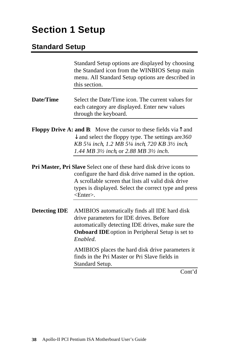# **Section 1 Setup**

## **Standard Setup**

|                      | the Standard icon from the WINBIOS Setup main<br>menu. All Standard Setup options are described in<br>this section.                                                                                                                                                              |
|----------------------|----------------------------------------------------------------------------------------------------------------------------------------------------------------------------------------------------------------------------------------------------------------------------------|
| Date/Time            | Select the Date/Time icon. The current values for<br>each category are displayed. Enter new values<br>through the keyboard.                                                                                                                                                      |
|                      | <b>Floppy Drive A: and B:</b> Move the cursor to these fields via $\uparrow$ and<br>$\downarrow$ and select the floppy type. The settings are 360<br>KB 51/4 inch, 1.2 MB 51/4 inch, 720 KB 31/2 inch,<br>1.44 MB 3½ inch or 2.88 MB 3½ inch.                                    |
|                      | <b>Pri Master, Pri Slave</b> Select one of these hard disk drive icons to<br>configure the hard disk drive named in the option.<br>A scrollable screen that lists all valid disk drive<br>types is displayed. Select the correct type and press<br>$\epsilon$ Enter $\epsilon$ . |
| <b>Detecting IDE</b> | AMIBIOS automatically finds all IDE hard disk<br>drive parameters for IDE drives. Before<br>automatically detecting IDE drives, make sure the<br><b>Onboard IDE</b> option in Peripheral Setup is set to<br>Enabled.                                                             |
|                      | AMIBIOS places the hard disk drive parameters it<br>finds in the Pri Master or Pri Slave fields in<br>Standard Setup.<br>Cont'd                                                                                                                                                  |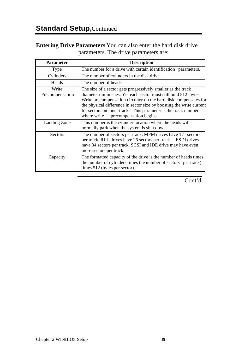#### **Entering Drive Parameters** You can also enter the hard disk drive parameters. The drive parameters are:

| <b>Parameter</b>         | <b>Description</b>                                                                                                                                                                                                                                                                                                                                                                       |
|--------------------------|------------------------------------------------------------------------------------------------------------------------------------------------------------------------------------------------------------------------------------------------------------------------------------------------------------------------------------------------------------------------------------------|
| Type                     | The number for a drive with certain identification parameters.                                                                                                                                                                                                                                                                                                                           |
| Cylinders                | The number of cylinders in the disk drive.                                                                                                                                                                                                                                                                                                                                               |
| Heads                    | The number of heads.                                                                                                                                                                                                                                                                                                                                                                     |
| Write<br>Precompensation | The size of a sector gets progressively smaller as the track<br>diameter diminishes. Yet each sector must still hold 512 bytes.<br>Write precompensation circuitry on the hard disk compensates for<br>the physical difference in sector size by boosting the write current<br>for sectors on inner tracks. This parameter is the track number<br>precompensation begins.<br>where write |
| Landing Zone             | This number is the cylinder location where the heads will<br>normally park when the system is shut down.                                                                                                                                                                                                                                                                                 |
| Sectors                  | The number of sectors per track. MFM drives have 17 sectors<br>per track. RLL drives have 26 sectors per track. ESDI drives<br>have 34 sectors per track. SCSI and IDE drive may have even<br>more sectors per track.                                                                                                                                                                    |
| Capacity                 | The formatted capacity of the drive is the number of heads times<br>the number of cylinders times the number of sectors per track)<br>times 512 (bytes per sector).                                                                                                                                                                                                                      |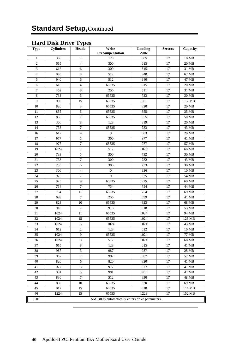#### **Hard Disk Drive Types**

| Type           | <b>Cylinders</b> | <b>Heads</b>        | Write<br>Precompensation                       | Landing<br>Zone | <b>Sectors</b> | Capacity       |
|----------------|------------------|---------------------|------------------------------------------------|-----------------|----------------|----------------|
| $\mathbf{1}$   | 306              | $\overline{4}$      | 128                                            | 305             | 17             | 10 MB          |
| $\overline{c}$ | 615              | $\overline{4}$      | 300                                            | 615             | 17             | 20 MB          |
| 3              | 615              | 6                   | 300                                            | 615             | 17             | 31 MB          |
| $\overline{4}$ | 940              | 8                   | 512                                            | 940             | 17             | 62 MB          |
| 5              | 940              | 6                   | 512                                            | 940             | 17             | 47 MB          |
| 6              | 615              | $\overline{4}$      | 65535                                          | 615             | 17             | 20 MB          |
| 7              | 462              | 8                   | 256                                            | 511             | 17             | 31 MB          |
| 8              | 733              | 5                   | 65535                                          | 733             | 17             | 30 MB          |
| 9              | 900              | 15                  | 65535                                          | 901             | 17             | 112 MB         |
| 10             | 820              | 3                   | 65535                                          | 820             | 17             | 20 MB          |
| 11             | 855              | 5                   | 65535                                          | 855             | 17             | 35 MB          |
| 12             | 855              | $\overline{7}$      | 65535                                          | 855             | 17             | 50 MB          |
| 13             | 306              | 8                   | 128                                            | 319             | 17             | 20 MB          |
| 14             | 733              | $\overline{7}$      | 65535                                          | 733             | 17             | 43 MB          |
| 16             | 612              | 4                   | $\boldsymbol{0}$                               | 663             | 17             | 20 MB          |
| 17             | 977              | 5                   | 300                                            | 977             | 17             | 41 MB          |
| 18             | 977              | $\boldsymbol{7}$    | 65535                                          | 977             | 17             | 57 MB          |
| 19             | 1024             | $\tau$              | 512                                            | 1023            | 17             | 60 MB          |
| 20             | 733              | 5                   | 300                                            | 732             | 17             | 30 MB          |
| 21             | 733              | $\tau$              | 300                                            | 732             | 17             | 43 MB          |
| 22             | 733              | 5                   | 300                                            | 733             | 17             | 30 MB          |
| 23             | 306              | $\overline{4}$      | $\mathbf{0}$                                   | 336             | 17             | 10 MB          |
| 24             | 925              | 7                   | $\overline{0}$                                 | 925             | 17             | 54 MB          |
| 25             | 925              | 9                   | 65535                                          | 925             | 17             | 69 MB          |
| 26             | 754              | $\overline{7}$      | 754                                            | 754             | 17             | 44 MB          |
| 27             | 754              | 11                  | 65535                                          | 754             | 17             | 69MB           |
| 28             | 699              | $\overline{7}$      | 256                                            | 699             | 17             | 41 MB          |
| 29             | 823              | 10                  | 65535                                          | 823             | 17             | 68 MB          |
| 30             | 918              | $\overline{7}$      | 918                                            | 918             | 17             | 53 MB          |
| 31             | 1024             | 11                  | 65535                                          | 1024            | 17             | 94 MB          |
| 32             | 1024             | 15                  | 65535                                          | 1024            | 17             | 128 MB         |
| 33             | 1024             | 5                   | 1024                                           | 1024            | 17             | 43 MB          |
| 34             | 612              | $\overline{c}$<br>9 | 128                                            | 612             | 17             | 10 MB          |
| 35<br>36       | 1024<br>1024     | 8                   | 65535<br>512                                   | 1024<br>1024    | 17<br>17       | 77 MB<br>68 MB |
| 37             | 615              | 8                   | 128                                            | 615             | 17             | 41 MB          |
| 38             | 987              | 3                   | 987                                            | 987             | 17             | 25 MB          |
| 39             | 987              | $\boldsymbol{7}$    | 987                                            | 987             | 17             | 57 MB          |
| 40             | 820              | 6                   | 820                                            | 820             | 17             | 41 MB          |
| 41             | 977              | 5                   | 977                                            | 977             | 17             | 41 MB          |
| 42             | 981              | 5                   | 981                                            | 981             | 17             | 41 MB          |
| 43             | 830              | 7                   | 512                                            | 830             | 17             | 48 MB          |
| 44             | 830              | 10                  | 65535                                          | 830             | 17             | 69 MB          |
| 45             | 917              | 15                  | 65535                                          | 918             | 17             | 114 MB         |
| 46             | 1224             | 15                  | 65535                                          | 1223            | 17             | 152 MB         |
| IDE            |                  |                     | AMIBIOS automatically enters drive parameters. |                 |                |                |
|                |                  |                     |                                                |                 |                |                |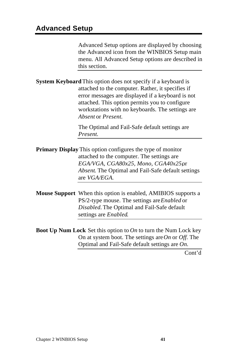Advanced Setup options are displayed by choosing the Advanced icon from the WINBIOS Setup main menu. All Advanced Setup options are described in this section.

**System Keyboard** This option does not specify if a keyboard is attached to the computer. Rather, it specifies if error messages are displayed if a keyboard is not attached. This option permits you to configure workstations with no keyboards. The settings are *Absent* or *Present.*

> The Optimal and Fail-Safe default settings are *Present.*

- **Primary Display** This option configures the type of monitor attached to the computer. The settings are *EGA/VGA, CGA80x25, Mono, CGA40x25,* or *Absent*. The Optimal and Fail-Safe default settings are *VGA/EGA.*
- **Mouse Support** When this option is enabled, AMIBIOS supports a PS/2-type mouse. The settings are *Enabled* or *Disabled.* The Optimal and Fail-Safe default settings are *Enabled*.
- **Boot Up Num Lock** Set this option to *On* to turn the Num Lock key On at system boot. The settings are *On* or *Off.* The Optimal and Fail-Safe default settings are *On.*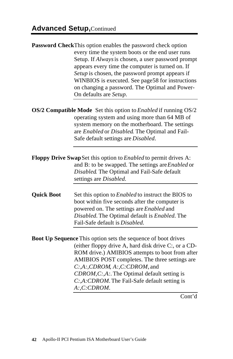|                   | Password CheckThis option enables the password check option<br>every time the system boots or the end user runs<br>Setup. If Always is chosen, a user password prompt<br>appears every time the computer is turned on. If<br>Setup is chosen, the password prompt appears if<br>WINBIOS is executed. See page58 for instructions<br>on changing a password. The Optimal and Power-<br>On defaults are Setup. |
|-------------------|--------------------------------------------------------------------------------------------------------------------------------------------------------------------------------------------------------------------------------------------------------------------------------------------------------------------------------------------------------------------------------------------------------------|
|                   | OS/2 Compatible Mode Set this option to Enabled if running OS/2<br>operating system and using more than 64 MB of<br>system memory on the motherboard. The settings<br>are Enabled or Disabled. The Optimal and Fail-<br>Safe default settings are Disabled.                                                                                                                                                  |
|                   | <b>Floppy Drive Swap Set this option to Enabled to permit drives A:</b><br>and B: to be swapped. The settings are Enabled or<br>Disabled. The Optimal and Fail-Safe default<br>settings are Disabled.                                                                                                                                                                                                        |
| <b>Quick Boot</b> | Set this option to <i>Enabled</i> to instruct the BIOS to<br>boot within five seconds after the computer is<br>powered on. The settings are Enabled and<br>Disabled. The Optimal default is Enabled. The<br>Fail-Safe default is Disabled.                                                                                                                                                                   |
|                   | Boot Up Sequence This option sets the sequence of boot drives<br>(either floppy drive A, hard disk drive C:, or a CD-<br>ROM drive.) AMIBIOS attempts to boot from after<br>AMIBIOS POST completes. The three settings are<br>C:, A:, CDROM, A:, C: CDROM, and<br>CDROM, C:, A:. The Optimal default setting is<br>C:,A:CDROM. The Fail-Safe default setting is<br>A:,C:CDROM.                               |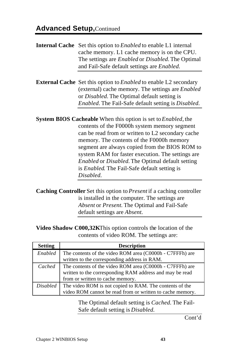### **Advanced Setup,**Continued

**Internal Cache** Set this option to *Enabled* to enable L1 internal cache memory. L1 cache memory is on the CPU. The settings are *Enabled* or *Disabled.* The Optimal and Fail-Safe default settings are *Enabled.* **External Cache** Set this option to *Enabled* to enable L2 secondary (external) cache memory. The settings are *Enabled* or *Disabled.* The Optimal default setting is *Enabled.* The Fail-Safe default setting is *Disabled.* **System BIOS Cacheable** When this option is set to *Enabled,* the contents of the F0000h system memory segment can be read from or written to L2 secondary cache memory. The contents of the F0000h memory segment are always copied from the BIOS ROM to system RAM for faster execution. The settings are *Enabled* or *Disabled.* The Optimal default setting is *Enabled*. The Fail-Safe default setting is *Disabled.*

**Caching Controller** Set this option to *Present* if a caching controller is installed in the computer. The settings are *Absent* or *Present.* The Optimal and Fail-Safe default settings are *Absent.*

**Video Shadow C000,32K**This option controls the location of the contents of video ROM. The settings are:

| <b>Setting</b>  | <b>Description</b>                                        |
|-----------------|-----------------------------------------------------------|
| Enabled         | The contents of the video ROM area (C0000h - C7FFFh) are  |
|                 | written to the corresponding address in RAM.              |
| Cached          | The contents of the video ROM area (C0000h - C7FFFh) are  |
|                 | written to the corresponding RAM address and may be read  |
|                 | from or written to cache memory.                          |
| <b>Disabled</b> | The video ROM is not copied to RAM. The contents of the   |
|                 | video ROM cannot be read from or written to cache memory. |

The Optimal default setting is *Cached.* The Fail-Safe default setting is *Disabled.*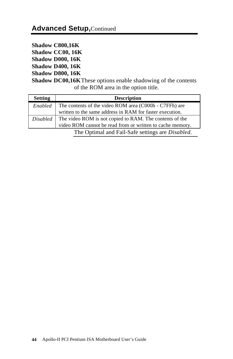**Shadow C800,16K Shadow CC00, 16K Shadow D000, 16K Shadow D400, 16K**

**Shadow D800, 16K**

**Shadow DC00,16K**These options enable shadowing of the contents of the ROM area in the option title.

| <b>Setting</b> | <b>Description</b>                                               |
|----------------|------------------------------------------------------------------|
| Enabled        | The contents of the video ROM area (C000h - C7FFh) are           |
|                | written to the same address in RAM for faster execution.         |
|                | Disabled The video ROM is not copied to RAM. The contents of the |
|                | video ROM cannot be read from or written to cache memory.        |
|                | The Optimal and Fail-Safe settings are Disabled.                 |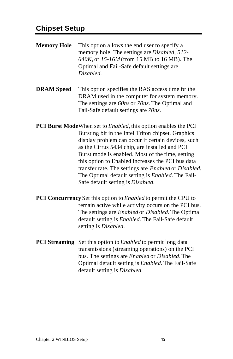# **Chipset Setup**

| <b>Memory Hole</b>   | This option allows the end user to specify a<br>memory hole. The settings are <i>Disabled</i> , 512-<br>640K, or 15-16M (from 15 MB to 16 MB). The<br>Optimal and Fail-Safe default settings are<br>Disabled.                                                                                                                                                                                                                 |
|----------------------|-------------------------------------------------------------------------------------------------------------------------------------------------------------------------------------------------------------------------------------------------------------------------------------------------------------------------------------------------------------------------------------------------------------------------------|
| <b>DRAM</b> Speed    | This option specifies the RAS access time for the<br>DRAM used in the computer for system memory.<br>The settings are 60ns or 70ns. The Optimal and<br>Fail-Safe default settings are 70ns.                                                                                                                                                                                                                                   |
|                      | <b>PCI Burst Mode</b> When set to <i>Enabled</i> , this option enables the PCI                                                                                                                                                                                                                                                                                                                                                |
|                      | Bursting bit in the Intel Triton chipset. Graphics<br>display problem can occur if certain devices, such<br>as the Cirrus 5434 chip, are installed and PCI<br>Burst mode is enabled. Most of the time, setting<br>this option to Enabled increases the PCI bus data<br>transfer rate. The settings are Enabled or Disabled.<br>The Optimal default setting is <i>Enabled</i> . The Fail-<br>Safe default setting is Disabled. |
|                      | PCI Concurrency Set this option to Enabled to permit the CPU to                                                                                                                                                                                                                                                                                                                                                               |
|                      | remain active while activity occurs on the PCI bus.<br>The settings are <i>Enabled</i> or <i>Disabled</i> . The Optimal<br>default setting is <i>Enabled</i> . The Fail-Safe default<br>setting is Disabled.                                                                                                                                                                                                                  |
| <b>PCI</b> Streaming | Set this option to <i>Enabled</i> to permit long data<br>transmissions (streaming operations) on the PCI<br>bus. The settings are <i>Enabled</i> or <i>Disabled</i> . The<br>Optimal default setting is <i>Enabled</i> . The Fail-Safe<br>default setting is Disabled.                                                                                                                                                        |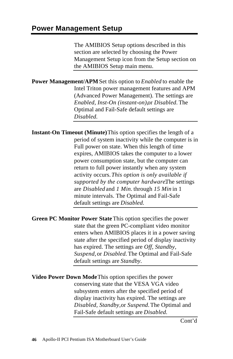The AMIBIOS Setup options described in this section are selected by choosing the Power Management Setup icon from the Setup section on the AMIBIOS Setup main menu.

**Power Management/APM** Set this option to *Enabled* to enable the Intel Triton power management features and APM (Advanced Power Management). The settings are *Enabled, Inst-On (instant-on), or Disabled. The* Optimal and Fail-Safe default settings are *Disabled.*

**Instant-On Timeout (Minute)** This option specifies the length of a period of system inactivity while the computer is in Full power on state. When this length of time expires, AMIBIOS takes the computer to a lower power consumption state, but the computer can return to full power instantly when any system activity occurs. *This option is only available if supported by the computer hardware.* The settings are *Disabled* and *1 Min.* through *15 Min* in 1 minute intervals. The Optimal and Fail-Safe default settings are *Disabled.*

**Green PC Monitor Power State** This option specifies the power state that the green PC-compliant video monitor enters when AMIBIOS places it in a power saving state after the specified period of display inactivity has expired. The settings are *Off, Standby, Suspend,* or *Disabled.* The Optimal and Fail-Safe default settings are *Standby.*

**Video Power Down Mode** This option specifies the power conserving state that the VESA VGA video subsystem enters after the specified period of display inactivity has expired. The settings are *Disabled, Standby,* or *Suspend.* The Optimal and Fail-Safe default settings are *Disabled.*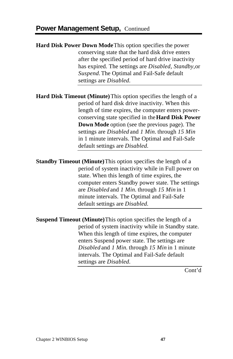**Hard Disk Power Down Mode** This option specifies the power conserving state that the hard disk drive enters after the specified period of hard drive inactivity has expired. The settings are *Disabled, Standby,* or *Suspend.* The Optimal and Fail-Safe default settings are *Disabled.*

**Hard Disk Timeout (Minute)** This option specifies the length of a period of hard disk drive inactivity. When this length of time expires, the computer enters powerconserving state specified in the **Hard Disk Power Down Mode** option (see the previous page). The settings are *Disabled* and *1 Min.* through *15 Min* in 1 minute intervals. The Optimal and Fail-Safe default settings are *Disabled.*

**Standby Timeout (Minute)** This option specifies the length of a period of system inactivity while in Full power on state. When this length of time expires, the computer enters Standby power state. The settings are *Disabled* and *1 Min.* through *15 Min* in 1 minute intervals. The Optimal and Fail-Safe default settings are *Disabled.*

**Suspend Timeout (Minute)** This option specifies the length of a period of system inactivity while in Standby state. When this length of time expires, the computer enters Suspend power state. The settings are *Disabled* and *1 Min.* through *15 Min* in 1 minute intervals. The Optimal and Fail-Safe default settings are *Disabled.*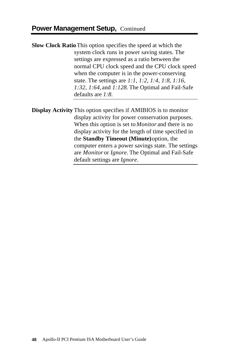**Slow Clock Ratio** This option specifies the speed at which the system clock runs in power saving states. The settings are expressed as a ratio between the normal CPU clock speed and the CPU clock speed when the computer is in the power-conserving state. The settings are *1:1, 1:2, 1:4, 1:8, 1:16, 1:32, 1:64,* and *1:128.* The Optimal and Fail-Safe defaults are *1:8.*

**Display Activity** This option specifies if AMIBIOS is to monitor display activity for power conservation purposes. When this option is set to *Monitor* and there is no display activity for the length of time specified in the **Standby Timeout (Minute)** option, the computer enters a power savings state. The settings are *Monitor* or *Ignore.* The Optimal and Fail-Safe default settings are *Ignore.*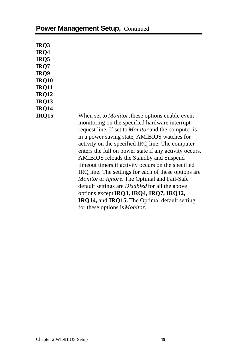| IRQ3         |                                                            |
|--------------|------------------------------------------------------------|
| IRQ4         |                                                            |
| IRQ5         |                                                            |
| IRQ7         |                                                            |
| IRQ9         |                                                            |
| <b>IRQ10</b> |                                                            |
| <b>IRQ11</b> |                                                            |
| <b>IRQ12</b> |                                                            |
| <b>IRQ13</b> |                                                            |
| <b>IRQ14</b> |                                                            |
|              |                                                            |
| <b>IRQ15</b> | When set to <i>Monitor</i> , these options enable event    |
|              | monitoring on the specified hardware interrupt             |
|              | request line. If set to <i>Monitor</i> and the computer is |
|              | in a power saving state, AMIBIOS watches for               |
|              | activity on the specified IRQ line. The computer           |
|              | enters the full on power state if any activity occurs.     |
|              | AMIBIOS reloads the Standby and Suspend                    |
|              | timeout timers if activity occurs on the specified         |
|              | IRQ line. The settings for each of these options are       |
|              | Monitor or Ignore. The Optimal and Fail-Safe               |
|              | default settings are <i>Disabled</i> for all the above     |
|              |                                                            |
|              | options except IRQ3, IRQ4, IRQ7, IRQ12,                    |
|              | IRQ14, and IRQ15. The Optimal default setting              |
|              | for these options is <i>Monitor</i> .                      |

## **Power Management Setup, Continued**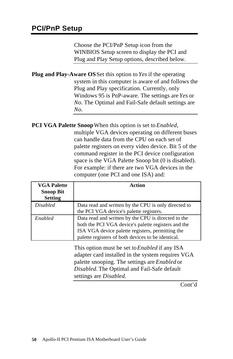Choose the PCI/PnP Setup icon from the WINBIOS Setup screen to display the PCI and Plug and Play Setup options, described below.

**Plug and Play-Aware OS** Set this option to *Yes* if the operating system in this computer is aware of and follows the Plug and Play specification. Currently, only Windows 95 is PnP-aware. The settings are *Yes* or *No.* The Optimal and Fail-Safe default settings are *No.*

**PCI VGA Palette Snoop** When this option is set to *Enabled,* multiple VGA devices operating on different buses can handle data from the CPU on each set of palette registers on every video device. Bit 5 of the command register in the PCI device configuration space is the VGA Palette Snoop bit (0 is disabled). For example: if there are two VGA devices in the computer (one PCI and one ISA) and:

| <b>VGA Palette</b><br><b>Snoop Bit</b><br><b>Setting</b> | Action                                                                                                                                                                                                               |
|----------------------------------------------------------|----------------------------------------------------------------------------------------------------------------------------------------------------------------------------------------------------------------------|
| <i>Disabled</i>                                          | Data read and written by the CPU is only directed to<br>the PCI VGA device's palette registers.                                                                                                                      |
| Enabled                                                  | Data read and written by the CPU is directed to the<br>both the PCI VGA device's palette registers and the<br>ISA VGA device palette registers, permitting the<br>palette registers of both devices to be identical. |

This option must be set to *Enabled* if any ISA adapter card installed in the system requires VGA palette snooping. The settings are *Enabled* or *Disabled.* The Optimal and Fail-Safe default settings are *Disabled.*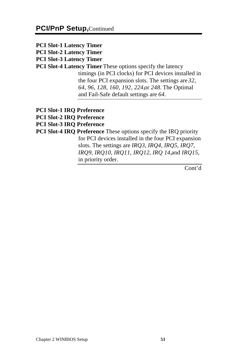- **PCI Slot-1 Latency Timer PCI Slot-2 Latency Timer PCI Slot-3 Latency Timer PCI Slot-4 Latency Timer** These options specify the latency timings (in PCI clocks) for PCI devices installed in the four PCI expansion slots. The settings are *32, 64, 96, 128, 160, 192, 224,* or *248.* The Optimal and Fail-Safe default settings are *64.*
- **PCI Slot-1 IRQ Preference**
- **PCI Slot-2 IRQ Preference**
- **PCI Slot-3 IRQ Preference**
- **PCI Slot-4 IRQ Preference** These options specify the IRQ priority for PCI devices installed in the four PCI expansion slots. The settings are *IRQ3, IRQ4, IRQ5, IRQ7, IRQ9, IRQ10, IRQ11, IRQ12, IRQ 14,* and *IRQ15,* in priority order.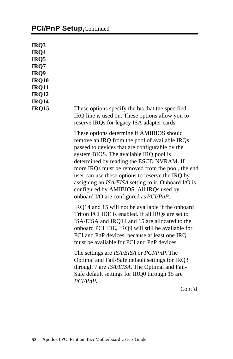### **PCI/PnP Setup, Continued**

**IRQ3 IRQ4 IRQ5 IRQ7 IRQ9 IRQ10 IRQ11 IRQ12 IRQ14**

**IRQ15** These options specify the bus that the specified IRQ line is used on. These options allow you to reserve IRQs for legacy ISA adapter cards.

> These options determine if AMIBIOS should remove an IRQ from the pool of available IRQs passed to devices that are configurable by the system BIOS. The available IRQ pool is determined by reading the ESCD NVRAM. If more IRQs must be removed from the pool, the end user can use these options to reserve the IRQ by assigning an *ISA/EISA* setting to it. Onboard I/O is configured by AMIBIOS. All IRQs used by onboard I/O are configured as *PCI/PnP.*

IRQ14 and 15 will not be available if the onboard Triton PCI IDE is enabled. If all IRQs are set to ISA/EISA and IRQ14 and 15 are allocated to the onboard PCI IDE, IRQ9 will still be available for PCI and PnP devices, because at least one IRQ must be available for PCI and PnP devices.

The settings are *ISA/EISA* or *PCI/PnP.* The Optimal and Fail-Safe default settings for IRQ3 through 7 are *ISA/EISA.* The Optimal and Fail-Safe default settings for IRQ0 through 15 are *PCI/PnP.*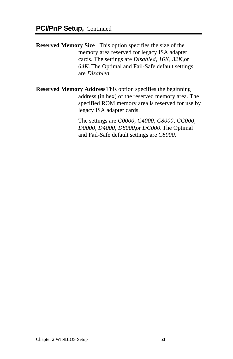**Reserved Memory Size** This option specifies the size of the memory area reserved for legacy ISA adapter cards. The settings are *Disabled, 16K, 32K,* or *64K.* The Optimal and Fail-Safe default settings are *Disabled.*

**Reserved Memory Address** This option specifies the beginning address (in hex) of the reserved memory area. The specified ROM memory area is reserved for use by legacy ISA adapter cards.

> The settings are *C0000, C4000, C8000, CC000, D0000, D4000, D8000,* or *DC000.* The Optimal and Fail-Safe default settings are *C8000.*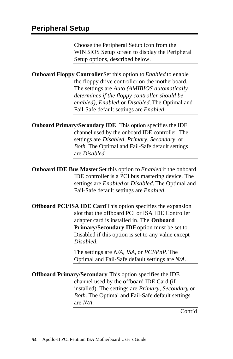Choose the Peripheral Setup icon from the WINBIOS Setup screen to display the Peripheral Setup options, described below.

**Onboard Floppy Controller** Set this option to *Enabled* to enable the floppy drive controller on the motherboard. The settings are *Auto (AMIBIOS automatically determines if the floppy controller should be enabled), Enabled,* or *Disabled.* The Optimal and Fail-Safe default settings are *Enabled.*

**Onboard Primary/Secondary IDE** This option specifies the IDE channel used by the onboard IDE controller. The settings are *Disabled, Primary, Secondary,* or *Both.* The Optimal and Fail-Safe default settings are *Disabled.*

**Onboard IDE Bus Master** Set this option to *Enabled* if the onboard IDE controller is a PCI bus mastering device. The settings are *Enabled* or *Disabled.* The Optimal and Fail-Safe default settings are *Enabled.*

**Offboard PCI/ISA IDE Card** This option specifies the expansion slot that the offboard PCI or ISA IDE Controller adapter card is installed in. The **Onboard Primary/Secondary IDE** option must be set to Disabled if this option is set to any value except *Disabled.*

> The settings are *N/A, ISA,* or *PCI/PnP.* The Optimal and Fail-Safe default settings are *N/A*.

**Offboard Primary/Secondary** This option specifies the IDE channel used by the offboard IDE Card (if installed). The settings are *Primary, Secondary*, or *Both.* The Optimal and Fail-Safe default settings are *N/A.*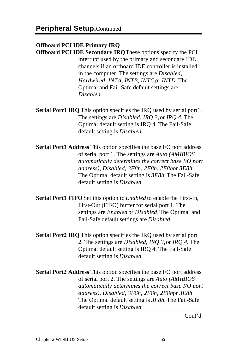### **Offboard PCI IDE Primary IRQ**

**Offboard PCI IDE Secondary IRQ** These options specify the PCI interrupt used by the primary and secondary IDE channels if an offboard IDE controller is installed in the computer. The settings are *Disabled, Hardwired, INTA, INTB, INTC, or INTD. The* Optimal and Fail-Safe default settings are *Disabled.*

**Serial Port1 IRQ** This option specifies the IRQ used by serial port1. The settings are *Disabled, IRQ 3,* or *IRQ 4.* The Optimal default setting is IRQ 4. The Fail-Safe default setting is *Disabled.*

**Serial Port1 Address** This option specifies the base I/O port address of serial port 1. The settings are *Auto (AMIBIOS automatically determines the correct base I/O port address*), *Disabled, 3F8h, 2F8h, 2E8hor 3E8h.* The Optimal default setting is *3F8h.* The Fail-Safe default setting is *Disabled.*

**Serial Port1 FIFO** Set this option to *Enabled* to enable the First-In, First-Out (FIFO) buffer for serial port 1. The settings are *Enabled* or *Disabled*. The Optimal and Fail-Safe default settings are *Disabled.*

**Serial Port2 IRQ** This option specifies the IRQ used by serial port 2. The settings are *Disabled, IRQ 3,* or *IRQ 4.* The Optimal default setting is IRQ 4. The Fail-Safe default setting is *Disabled.*

**Serial Port2 Address** This option specifies the base I/O port address of serial port 2. The settings are *Auto (AMIBIOS automatically determines the correct base I/O port address), Disabled, 3F8h, 2F8h, 2E8h,* or *3E8h.* The Optimal default setting is *3F8h.* The Fail-Safe default setting is *Disabled.*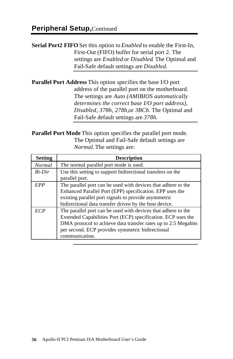**Serial Port2 FIFO** Set this option to *Enabled* to enable the First-In, First-Out (FIFO) buffer for serial port 2. The settings are *Enabled* or *Disabled*. The Optimal and Fail-Safe default settings are *Disabled.*

**Parallel Port Address** This option specifies the base I/O port address of the parallel port on the motherboard. The settings are *Auto (AMIBIOS automatically determines the correct base I/O port address), Disabled, 378h, 278h,* or *3BCh.* The Optimal and Fail-Safe default settings are *378h.*

**Parallel Port Mode** This option specifies the parallel port mode. The Optimal and Fail-Safe default settings are *Normal.* The settings are:

| <b>Setting</b> | <b>Description</b>                                                                                                                                                                                                                                                    |
|----------------|-----------------------------------------------------------------------------------------------------------------------------------------------------------------------------------------------------------------------------------------------------------------------|
| <b>Normal</b>  | The normal parallel port mode is used.                                                                                                                                                                                                                                |
| $Bi-Dir$       | Use this setting to support bidirectional transfers on the<br>parallel port.                                                                                                                                                                                          |
| EPP            | The parallel port can be used with devices that adhere to the<br>Enhanced Parallel Port (EPP) specification. EPP uses the<br>existing parallel port signals to provide asymmetric<br>bidirectional data transfer driven by the host device.                           |
| <b>ECP</b>     | The parallel port can be used with devices that adhere to the<br>Extended Capabilities Port (ECP) specification. ECP uses the<br>DMA protocol to achieve data transfer rates up to 2.5 Megabits<br>per second. ECP provides symmetric bidirectional<br>communication. |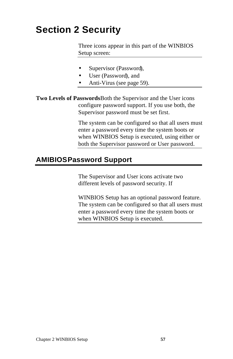# **Section 2 Security**

Three icons appear in this part of the WINBIOS Setup screen:

- Supervisor (Password),
- User (Password), and
- Anti-Virus (see page 59).

**Two Levels of Passwords** Both the Supervisor and the User icons configure password support. If you use both, the Supervisor password must be set first.

> The system can be configured so that all users must enter a password every time the system boots or when WINBIOS Setup is executed, using either or both the Supervisor password or User password.

#### **AMIBIOS Password Support**

The Supervisor and User icons activate two different levels of password security. If

WINBIOS Setup has an optional password feature. The system can be configured so that all users must enter a password every time the system boots or when WINBIOS Setup is executed.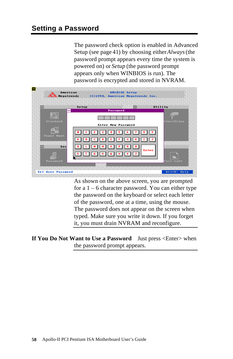The password check option is enabled in Advanced Setup (see page 41) by choosing either *Always* (the password prompt appears every time the system is powered on) or *Setup* (the password prompt appears only when WINBIOS is run). The password is encrypted and stored in NVRAM.



As shown on the above screen, you are prompted for a  $1 - 6$  character password. You can either type the password on the keyboard or select each letter of the password, one at a time, using the mouse. The password does not appear on the screen when typed. Make sure you write it down. If you forget it, you must drain NVRAM and reconfigure.

**If You Do Not Want to Use a Password** Just press <Enter> when the password prompt appears.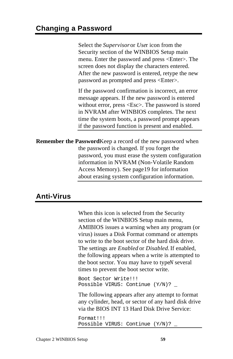Select the *Supervisor* or *Use*r icon from the Security section of the WINBIOS Setup main menu. Enter the password and press <Enter>. The screen does not display the characters entered. After the new password is entered, retype the new password as prompted and press <Enter>.

If the password confirmation is incorrect, an error message appears. If the new password is entered without error, press <Esc>. The password is stored in NVRAM after WINBIOS completes. The next time the system boots, a password prompt appears if the password function is present and enabled.

**Remember the Password**Keep a record of the new password when the password is changed. If you forget the password, you must erase the system configuration information in NVRAM (Non-Volatile Random Access Memory). See page 19 for information about erasing system configuration information.

### **Anti-Virus**

When this icon is selected from the Security section of the WINBIOS Setup main menu, AMIBIOS issues a warning when any program (or virus) issues a Disk Format command or attempts to write to the boot sector of the hard disk drive. The settings are *Enabled* or *Disabled.* If enabled, the following appears when a write is attempted to the boot sector. You may have to type<sup> $N$ </sup> several times to prevent the boot sector write.

```
Boot Sector Write!!!
Possible VIRUS: Continue (Y/N)? _
```
The following appears after any attempt to format any cylinder, head, or sector of any hard disk drive via the BIOS INT 13 Hard Disk Drive Service:

Format!!! Possible VIRUS: Continue (Y/N)? \_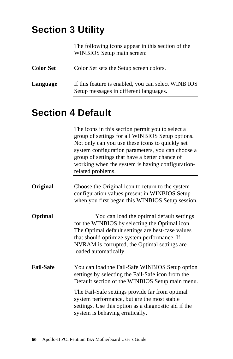# **Section 3 Utility**

The following icons appear in this section of the WINBIOS Setup main screen:

| <b>Color Set</b> | Color Set sets the Setup screen colors.                                                       |
|------------------|-----------------------------------------------------------------------------------------------|
| Language         | If this feature is enabled, you can select WINB IOS<br>Setup messages in different languages. |

# **Section 4 Default**

|           | The icons in this section permit you to select a<br>group of settings for all WINBIOS Setup options.<br>Not only can you use these icons to quickly set<br>system configuration parameters, you can choose a<br>group of settings that have a better chance of<br>working when the system is having configuration-<br>related problems. |
|-----------|-----------------------------------------------------------------------------------------------------------------------------------------------------------------------------------------------------------------------------------------------------------------------------------------------------------------------------------------|
| Original  | Choose the Original icon to return to the system<br>configuration values present in WINBIOS Setup<br>when you first began this WINBIOS Setup session.                                                                                                                                                                                   |
| Optimal   | You can load the optimal default settings<br>for the WINBIOS by selecting the Optimal icon.<br>The Optimal default settings are best-case values<br>that should optimize system performance. If<br>NVRAM is corrupted, the Optimal settings are<br>loaded automatically.                                                                |
| Fail-Safe | You can load the Fail-Safe WINBIOS Setup option<br>settings by selecting the Fail-Safe icon from the<br>Default section of the WINBIOS Setup main menu.                                                                                                                                                                                 |
|           | The Fail-Safe settings provide far from optimal<br>system performance, but are the most stable<br>settings. Use this option as a diagnostic aid if the<br>system is behaving erratically.                                                                                                                                               |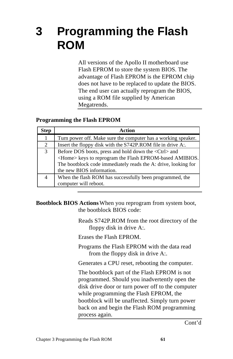# **3 Programming the Flash ROM**

All versions of the Apollo II motherboard use Flash EPROM to store the system BIOS. The advantage of Flash EPROM is the EPROM chip does not have to be replaced to update the BIOS. The end user can actually reprogram the BIOS, using a ROM file supplied by American Megatrends.

#### **Programming the Flash EPROM**

| <b>Step</b> | Action                                                                                                                                                                                                                          |
|-------------|---------------------------------------------------------------------------------------------------------------------------------------------------------------------------------------------------------------------------------|
|             | Turn power off. Make sure the computer has a working speaker.                                                                                                                                                                   |
| 2           | Insert the floppy disk with the S742P.ROM file in drive A:.                                                                                                                                                                     |
| 3           | Before DOS boots, press and hold down the <ctrl> and<br/><home> keys to reprogram the Flash EPROM-based AMIBIOS.<br/>The bootblock code immediately reads the A: drive, looking for<br/>the new BIOS information.</home></ctrl> |
|             |                                                                                                                                                                                                                                 |
|             | When the flash ROM has successfully been programmed, the<br>computer will reboot.                                                                                                                                               |

**Bootblock BIOS Actions**When you reprogram from system boot, the bootblock BIOS code:

> Reads S742P.ROM from the root directory of the floppy disk in drive A:.

Erases the Flash EPROM.

Programs the Flash EPROM with the data read from the floppy disk in drive A:.

Generates a CPU reset, rebooting the computer.

The bootblock part of the Flash EPROM is not programmed. Should you inadvertently open the disk drive door or turn power off to the computer while programming the Flash EPROM, the bootblock will be unaffected. Simply turn power back on and begin the Flash ROM programming process again.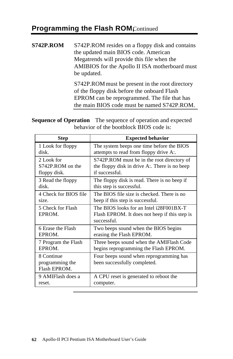### **Programming the Flash ROM**Continued

#### **S742P.ROM** S742P.ROM resides on a floppy disk and contains the updated main BIOS code. American Megatrends will provide this file when the AMIBIOS for the Apollo II ISA motherboard must be updated.

S742P.ROM must be present in the root directory of the floppy disk before the onboard Flash EPROM can be reprogrammed. The file that has the main BIOS code must be named S742P.ROM.

**Sequence of Operation** The sequence of operation and expected behavior of the bootblock BIOS code is:

| Step                  | <b>Expected behavior</b>                      |
|-----------------------|-----------------------------------------------|
| 1 Look for floppy     | The system beeps one time before the BIOS     |
| disk.                 | attempts to read from floppy drive A:.        |
| 2 Look for            | S742P.ROM must be in the root directory of    |
| S742P.ROM on the      | the floppy disk in drive A:. There is no beep |
| floppy disk.          | if successful.                                |
| 3 Read the floppy     | The floppy disk is read. There is no beep if  |
| disk.                 | this step is successful.                      |
| 4 Check for BIOS file | The BIOS file size is checked. There is no    |
| size.                 | beep if this step is successful.              |
| 5 Check for Flash     | The BIOS looks for an Intel i28F001BX-T       |
| EPROM.                | Flash EPROM. It does not beep if this step is |
|                       | successful.                                   |
| 6 Erase the Flash     | Two beeps sound when the BIOS begins          |
| EPROM.                | erasing the Flash EPROM.                      |
| 7 Program the Flash   | Three beeps sound when the AMIFlash Code      |
| EPROM.                | begins reprogramming the Flash EPROM.         |
| 8 Continue            | Four beeps sound when reprogramming has       |
| programming the       | been successfully completed.                  |
| Flash EPROM.          |                                               |
| 9 AMIFlash does a     | A CPU reset is generated to reboot the        |
| reset.                | computer.                                     |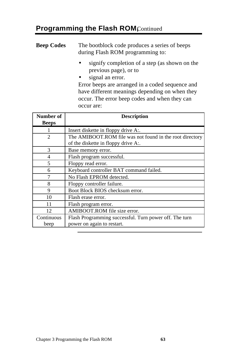## **Programming the Flash ROM**Continued

| <b>Beep Codes</b> | The bootblock code produces a series of beeps<br>during Flash ROM programming to: |
|-------------------|-----------------------------------------------------------------------------------|
|                   | signify completion of a step (as shown on the<br>previous page), or to            |
|                   | signal an error.<br>$\bullet$                                                     |
|                   | Error beeps are arranged in a coded sequence and                                  |

have different meanings depending on when they occur. The error beep codes and when they can occur are:

| Number of      | <b>Description</b>                                       |
|----------------|----------------------------------------------------------|
| <b>Beeps</b>   |                                                          |
|                | Insert diskette in floppy drive A:.                      |
| $\mathfrak{D}$ | The AMIBOOT.ROM file was not found in the root directory |
|                | of the diskette in floppy drive A:.                      |
| $\mathcal{F}$  | Base memory error.                                       |
| $\overline{4}$ | Flash program successful.                                |
| 5              | Floppy read error.                                       |
| 6              | Keyboard controller BAT command failed.                  |
|                | No Flash EPROM detected.                                 |
| 8              | Floppy controller failure.                               |
| 9              | Boot Block BIOS checksum error.                          |
| 10             | Flash erase error.                                       |
| 11             | Flash program error.                                     |
| 12             | AMIBOOT.ROM file size error.                             |
| Continuous     | Flash Programming successful. Turn power off. The turn   |
| beep           | power on again to restart.                               |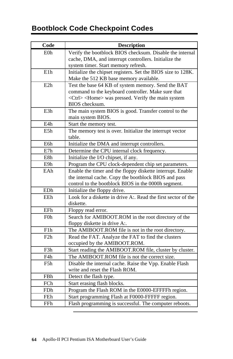# **Bootblock Code Checkpoint Codes**

| Verify the bootblock BIOS checksum. Disable the internal<br>E <sub>0</sub> h<br>cache, DMA, and interrupt controllers. Initialize the<br>system timer. Start memory refresh.<br>E1h<br>Initialize the chipset registers. Set the BIOS size to 128K.<br>Make the 512 KB base memory available.<br>Test the base 64 KB of system memory. Send the BAT<br>E2h<br>command to the keyboard controller. Make sure that<br><ctrl> <home> was pressed. Verify the main system<br/>BIOS checksum.<br/>E<sub>3</sub>h<br/>The main system BIOS is good. Transfer control to the<br/>main system BIOS.<br/>E4h<br/>Start the memory test.<br/>The memory test is over. Initialize the interrupt vector<br/>E5h<br/>table.<br/>E6h<br/>Initialize the DMA and interrupt controllers.<br/>E7h<br/>Determine the CPU internal clock frequency.<br/>E8h<br/>Initialize the I/O chipset, if any.<br/>Program the CPU clock-dependent chip set parameters.<br/>E9h<br/>EAh<br/>Enable the timer and the floppy diskette interrupt. Enable<br/>the internal cache. Copy the bootblock BIOS and pass<br/>control to the bootblock BIOS in the 0000h segment.<br/>EDh<br/>Initialize the floppy drive.<br/>Look for a diskette in drive A:. Read the first sector of the<br/>EEh<br/>diskette.<br/>EFh<br/>Floppy read error.<br/>Search for AMIBOOT.ROM in the root directory of the<br/>F<sub>0h</sub><br/>floppy diskette in drive A:.<br/>F1h<br/>The AMIBOOT.ROM file is not in the root directory.<br/>Read the FAT. Analyze the FAT to find the clusters<br/>F2h<br/>occupied by the AMIBOOT.ROM.<br/>F3h<br/>Start reading the AMIBOOT.ROM file, cluster by cluster.<br/>The AMIBOOT.ROM file is not the correct size.<br/>F4h<br/>F5h<br/>Disable the internal cache. Raise the Vpp. Enable Flash<br/>write and reset the Flash ROM.<br/>FBh<br/>Detect the flash type.<br/>FCh<br/>Start erasing flash blocks.<br/>Program the Flash ROM in the E0000-EFFFFh region.<br/>FDh<br/>Start programming Flash at F0000-FFFFF region.<br/>FEh</home></ctrl> | Code | <b>Description</b>                                     |
|---------------------------------------------------------------------------------------------------------------------------------------------------------------------------------------------------------------------------------------------------------------------------------------------------------------------------------------------------------------------------------------------------------------------------------------------------------------------------------------------------------------------------------------------------------------------------------------------------------------------------------------------------------------------------------------------------------------------------------------------------------------------------------------------------------------------------------------------------------------------------------------------------------------------------------------------------------------------------------------------------------------------------------------------------------------------------------------------------------------------------------------------------------------------------------------------------------------------------------------------------------------------------------------------------------------------------------------------------------------------------------------------------------------------------------------------------------------------------------------------------------------------------------------------------------------------------------------------------------------------------------------------------------------------------------------------------------------------------------------------------------------------------------------------------------------------------------------------------------------------------------------------------------------------------------------------------------------------------------------------------------------------------------------------|------|--------------------------------------------------------|
|                                                                                                                                                                                                                                                                                                                                                                                                                                                                                                                                                                                                                                                                                                                                                                                                                                                                                                                                                                                                                                                                                                                                                                                                                                                                                                                                                                                                                                                                                                                                                                                                                                                                                                                                                                                                                                                                                                                                                                                                                                             |      |                                                        |
|                                                                                                                                                                                                                                                                                                                                                                                                                                                                                                                                                                                                                                                                                                                                                                                                                                                                                                                                                                                                                                                                                                                                                                                                                                                                                                                                                                                                                                                                                                                                                                                                                                                                                                                                                                                                                                                                                                                                                                                                                                             |      |                                                        |
|                                                                                                                                                                                                                                                                                                                                                                                                                                                                                                                                                                                                                                                                                                                                                                                                                                                                                                                                                                                                                                                                                                                                                                                                                                                                                                                                                                                                                                                                                                                                                                                                                                                                                                                                                                                                                                                                                                                                                                                                                                             |      |                                                        |
|                                                                                                                                                                                                                                                                                                                                                                                                                                                                                                                                                                                                                                                                                                                                                                                                                                                                                                                                                                                                                                                                                                                                                                                                                                                                                                                                                                                                                                                                                                                                                                                                                                                                                                                                                                                                                                                                                                                                                                                                                                             |      |                                                        |
|                                                                                                                                                                                                                                                                                                                                                                                                                                                                                                                                                                                                                                                                                                                                                                                                                                                                                                                                                                                                                                                                                                                                                                                                                                                                                                                                                                                                                                                                                                                                                                                                                                                                                                                                                                                                                                                                                                                                                                                                                                             |      |                                                        |
|                                                                                                                                                                                                                                                                                                                                                                                                                                                                                                                                                                                                                                                                                                                                                                                                                                                                                                                                                                                                                                                                                                                                                                                                                                                                                                                                                                                                                                                                                                                                                                                                                                                                                                                                                                                                                                                                                                                                                                                                                                             |      |                                                        |
|                                                                                                                                                                                                                                                                                                                                                                                                                                                                                                                                                                                                                                                                                                                                                                                                                                                                                                                                                                                                                                                                                                                                                                                                                                                                                                                                                                                                                                                                                                                                                                                                                                                                                                                                                                                                                                                                                                                                                                                                                                             |      |                                                        |
|                                                                                                                                                                                                                                                                                                                                                                                                                                                                                                                                                                                                                                                                                                                                                                                                                                                                                                                                                                                                                                                                                                                                                                                                                                                                                                                                                                                                                                                                                                                                                                                                                                                                                                                                                                                                                                                                                                                                                                                                                                             |      |                                                        |
|                                                                                                                                                                                                                                                                                                                                                                                                                                                                                                                                                                                                                                                                                                                                                                                                                                                                                                                                                                                                                                                                                                                                                                                                                                                                                                                                                                                                                                                                                                                                                                                                                                                                                                                                                                                                                                                                                                                                                                                                                                             |      |                                                        |
|                                                                                                                                                                                                                                                                                                                                                                                                                                                                                                                                                                                                                                                                                                                                                                                                                                                                                                                                                                                                                                                                                                                                                                                                                                                                                                                                                                                                                                                                                                                                                                                                                                                                                                                                                                                                                                                                                                                                                                                                                                             |      |                                                        |
|                                                                                                                                                                                                                                                                                                                                                                                                                                                                                                                                                                                                                                                                                                                                                                                                                                                                                                                                                                                                                                                                                                                                                                                                                                                                                                                                                                                                                                                                                                                                                                                                                                                                                                                                                                                                                                                                                                                                                                                                                                             |      |                                                        |
|                                                                                                                                                                                                                                                                                                                                                                                                                                                                                                                                                                                                                                                                                                                                                                                                                                                                                                                                                                                                                                                                                                                                                                                                                                                                                                                                                                                                                                                                                                                                                                                                                                                                                                                                                                                                                                                                                                                                                                                                                                             |      |                                                        |
|                                                                                                                                                                                                                                                                                                                                                                                                                                                                                                                                                                                                                                                                                                                                                                                                                                                                                                                                                                                                                                                                                                                                                                                                                                                                                                                                                                                                                                                                                                                                                                                                                                                                                                                                                                                                                                                                                                                                                                                                                                             |      |                                                        |
|                                                                                                                                                                                                                                                                                                                                                                                                                                                                                                                                                                                                                                                                                                                                                                                                                                                                                                                                                                                                                                                                                                                                                                                                                                                                                                                                                                                                                                                                                                                                                                                                                                                                                                                                                                                                                                                                                                                                                                                                                                             |      |                                                        |
|                                                                                                                                                                                                                                                                                                                                                                                                                                                                                                                                                                                                                                                                                                                                                                                                                                                                                                                                                                                                                                                                                                                                                                                                                                                                                                                                                                                                                                                                                                                                                                                                                                                                                                                                                                                                                                                                                                                                                                                                                                             |      |                                                        |
|                                                                                                                                                                                                                                                                                                                                                                                                                                                                                                                                                                                                                                                                                                                                                                                                                                                                                                                                                                                                                                                                                                                                                                                                                                                                                                                                                                                                                                                                                                                                                                                                                                                                                                                                                                                                                                                                                                                                                                                                                                             |      |                                                        |
|                                                                                                                                                                                                                                                                                                                                                                                                                                                                                                                                                                                                                                                                                                                                                                                                                                                                                                                                                                                                                                                                                                                                                                                                                                                                                                                                                                                                                                                                                                                                                                                                                                                                                                                                                                                                                                                                                                                                                                                                                                             |      |                                                        |
|                                                                                                                                                                                                                                                                                                                                                                                                                                                                                                                                                                                                                                                                                                                                                                                                                                                                                                                                                                                                                                                                                                                                                                                                                                                                                                                                                                                                                                                                                                                                                                                                                                                                                                                                                                                                                                                                                                                                                                                                                                             |      |                                                        |
|                                                                                                                                                                                                                                                                                                                                                                                                                                                                                                                                                                                                                                                                                                                                                                                                                                                                                                                                                                                                                                                                                                                                                                                                                                                                                                                                                                                                                                                                                                                                                                                                                                                                                                                                                                                                                                                                                                                                                                                                                                             |      |                                                        |
|                                                                                                                                                                                                                                                                                                                                                                                                                                                                                                                                                                                                                                                                                                                                                                                                                                                                                                                                                                                                                                                                                                                                                                                                                                                                                                                                                                                                                                                                                                                                                                                                                                                                                                                                                                                                                                                                                                                                                                                                                                             |      |                                                        |
|                                                                                                                                                                                                                                                                                                                                                                                                                                                                                                                                                                                                                                                                                                                                                                                                                                                                                                                                                                                                                                                                                                                                                                                                                                                                                                                                                                                                                                                                                                                                                                                                                                                                                                                                                                                                                                                                                                                                                                                                                                             |      |                                                        |
|                                                                                                                                                                                                                                                                                                                                                                                                                                                                                                                                                                                                                                                                                                                                                                                                                                                                                                                                                                                                                                                                                                                                                                                                                                                                                                                                                                                                                                                                                                                                                                                                                                                                                                                                                                                                                                                                                                                                                                                                                                             |      |                                                        |
|                                                                                                                                                                                                                                                                                                                                                                                                                                                                                                                                                                                                                                                                                                                                                                                                                                                                                                                                                                                                                                                                                                                                                                                                                                                                                                                                                                                                                                                                                                                                                                                                                                                                                                                                                                                                                                                                                                                                                                                                                                             |      |                                                        |
|                                                                                                                                                                                                                                                                                                                                                                                                                                                                                                                                                                                                                                                                                                                                                                                                                                                                                                                                                                                                                                                                                                                                                                                                                                                                                                                                                                                                                                                                                                                                                                                                                                                                                                                                                                                                                                                                                                                                                                                                                                             |      |                                                        |
|                                                                                                                                                                                                                                                                                                                                                                                                                                                                                                                                                                                                                                                                                                                                                                                                                                                                                                                                                                                                                                                                                                                                                                                                                                                                                                                                                                                                                                                                                                                                                                                                                                                                                                                                                                                                                                                                                                                                                                                                                                             |      |                                                        |
|                                                                                                                                                                                                                                                                                                                                                                                                                                                                                                                                                                                                                                                                                                                                                                                                                                                                                                                                                                                                                                                                                                                                                                                                                                                                                                                                                                                                                                                                                                                                                                                                                                                                                                                                                                                                                                                                                                                                                                                                                                             |      |                                                        |
|                                                                                                                                                                                                                                                                                                                                                                                                                                                                                                                                                                                                                                                                                                                                                                                                                                                                                                                                                                                                                                                                                                                                                                                                                                                                                                                                                                                                                                                                                                                                                                                                                                                                                                                                                                                                                                                                                                                                                                                                                                             |      |                                                        |
|                                                                                                                                                                                                                                                                                                                                                                                                                                                                                                                                                                                                                                                                                                                                                                                                                                                                                                                                                                                                                                                                                                                                                                                                                                                                                                                                                                                                                                                                                                                                                                                                                                                                                                                                                                                                                                                                                                                                                                                                                                             |      |                                                        |
|                                                                                                                                                                                                                                                                                                                                                                                                                                                                                                                                                                                                                                                                                                                                                                                                                                                                                                                                                                                                                                                                                                                                                                                                                                                                                                                                                                                                                                                                                                                                                                                                                                                                                                                                                                                                                                                                                                                                                                                                                                             |      |                                                        |
|                                                                                                                                                                                                                                                                                                                                                                                                                                                                                                                                                                                                                                                                                                                                                                                                                                                                                                                                                                                                                                                                                                                                                                                                                                                                                                                                                                                                                                                                                                                                                                                                                                                                                                                                                                                                                                                                                                                                                                                                                                             |      |                                                        |
|                                                                                                                                                                                                                                                                                                                                                                                                                                                                                                                                                                                                                                                                                                                                                                                                                                                                                                                                                                                                                                                                                                                                                                                                                                                                                                                                                                                                                                                                                                                                                                                                                                                                                                                                                                                                                                                                                                                                                                                                                                             |      |                                                        |
|                                                                                                                                                                                                                                                                                                                                                                                                                                                                                                                                                                                                                                                                                                                                                                                                                                                                                                                                                                                                                                                                                                                                                                                                                                                                                                                                                                                                                                                                                                                                                                                                                                                                                                                                                                                                                                                                                                                                                                                                                                             |      |                                                        |
|                                                                                                                                                                                                                                                                                                                                                                                                                                                                                                                                                                                                                                                                                                                                                                                                                                                                                                                                                                                                                                                                                                                                                                                                                                                                                                                                                                                                                                                                                                                                                                                                                                                                                                                                                                                                                                                                                                                                                                                                                                             |      |                                                        |
|                                                                                                                                                                                                                                                                                                                                                                                                                                                                                                                                                                                                                                                                                                                                                                                                                                                                                                                                                                                                                                                                                                                                                                                                                                                                                                                                                                                                                                                                                                                                                                                                                                                                                                                                                                                                                                                                                                                                                                                                                                             |      |                                                        |
|                                                                                                                                                                                                                                                                                                                                                                                                                                                                                                                                                                                                                                                                                                                                                                                                                                                                                                                                                                                                                                                                                                                                                                                                                                                                                                                                                                                                                                                                                                                                                                                                                                                                                                                                                                                                                                                                                                                                                                                                                                             |      |                                                        |
|                                                                                                                                                                                                                                                                                                                                                                                                                                                                                                                                                                                                                                                                                                                                                                                                                                                                                                                                                                                                                                                                                                                                                                                                                                                                                                                                                                                                                                                                                                                                                                                                                                                                                                                                                                                                                                                                                                                                                                                                                                             |      |                                                        |
|                                                                                                                                                                                                                                                                                                                                                                                                                                                                                                                                                                                                                                                                                                                                                                                                                                                                                                                                                                                                                                                                                                                                                                                                                                                                                                                                                                                                                                                                                                                                                                                                                                                                                                                                                                                                                                                                                                                                                                                                                                             | FFh  | Flash programming is successful. The computer reboots. |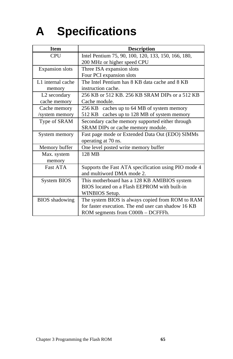# **A Specifications**

| <b>Item</b>              | <b>Description</b>                                   |
|--------------------------|------------------------------------------------------|
| <b>CPU</b>               | Intel Pentium 75, 90, 100, 120, 133, 150, 166, 180,  |
|                          | 200 MHz or higher speed CPU                          |
| <b>Expansion slots</b>   | Three ISA expansion slots                            |
|                          | Four PCI expansion slots                             |
| L1 internal cache        | The Intel Pentium has 8 KB data cache and 8 KB       |
| memory                   | instruction cache.                                   |
| L <sub>2</sub> secondary | 256 KB or 512 KB, 256 KB SRAM DIPs or a 512 KB       |
| cache memory             | Cache module.                                        |
| Cache memory             | 256 KB caches up to 64 MB of system memory           |
| /system memory           | 512 KB caches up to 128 MB of system memory          |
| Type of SRAM             | Secondary cache memory supported either through      |
|                          | SRAM DIPs or cache memory module.                    |
| System memory            | Fast page mode or Extended Data Out (EDO) SIMMs      |
|                          | operating at 70 ns.                                  |
| Memory buffer            | One level posted write memory buffer                 |
| Max. system              | 128 MB                                               |
| memory                   |                                                      |
| <b>Fast ATA</b>          | Supports the Fast ATA specification using PIO mode 4 |
|                          | and multiword DMA mode 2.                            |
| System BIOS              | This motherboard has a 128 KB AMIBIOS system         |
|                          | BIOS located on a Flash EEPROM with built-in         |
|                          | WINBIOS Setup.                                       |
| <b>BIOS</b> shadowing    | The system BIOS is always copied from ROM to RAM     |
|                          | for faster execution. The end user can shadow 16 KB  |
|                          | ROM segments from C000h - DCFFFh.                    |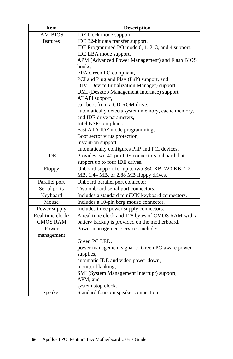| Item             | <b>Description</b>                                 |
|------------------|----------------------------------------------------|
| AMIBIOS          | IDE block mode support,                            |
| features         | IDE 32-bit data transfer support,                  |
|                  | IDE Programmed I/O mode 0, 1, 2, 3, and 4 support, |
|                  | IDE LBA mode support,                              |
|                  | APM (Advanced Power Management) and Flash BIOS     |
|                  | hooks,                                             |
|                  | EPA Green PC-compliant,                            |
|                  | PCI and Plug and Play (PnP) support, and           |
|                  | DIM (Device Initialization Manager) support,       |
|                  | DMI (Desktop Management Interface) support,        |
|                  | ATAPI support,                                     |
|                  | can boot from a CD-ROM drive,                      |
|                  | automatically detects system memory, cache memory, |
|                  | and IDE drive parameters,                          |
|                  | Intel NSP-compliant,                               |
|                  | Fast ATA IDE mode programming,                     |
|                  | Boot sector virus protection,                      |
|                  | instant-on support,                                |
|                  | automatically configures PnP and PCI devices.      |
| <b>IDE</b>       | Provides two 40-pin IDE connectors onboard that    |
|                  | support up to four IDE drives.                     |
| Floppy           | Onboard support for up to two 360 KB, 720 KB, 1.2  |
|                  | MB, 1.44 MB, or 2.88 MB floppy drives.             |
| Parallel port    | Onboard parallel port connector.                   |
| Serial ports     | Two onboard serial port connectors.                |
| Keyboard         | Includes a standard miniDIN keyboard connectors.   |
| Mouse            | Includes a 10-pin berg mouse connector.            |
| Power supply     | Includes three power supply connectors.            |
| Real time clock/ | A real time clock and 128 bytes of CMOS RAM with a |
| <b>CMOS RAM</b>  | battery backup is provided on the motherboard.     |
| Power            | Power management services include:                 |
| management       |                                                    |
|                  | Green PC LED,                                      |
|                  | power management signal to Green PC-aware power    |
|                  | supplies,                                          |
|                  | automatic IDE and video power down,                |
|                  | monitor blanking,                                  |
|                  | SMI (System Management Interrupt) support,         |
|                  | APM, and                                           |
|                  | system stop clock.                                 |
| Speaker          | Standard four-pin speaker connection.              |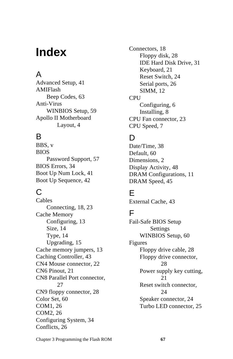# **Index**

# A

Advanced Setup, 41 AMIFlash Beep Codes, 63 Anti-Virus WINBIOS Setup, 59 Apollo II Motherboard Layout, 4

## B

BBS, v BIOS Password Support, 57 BIOS Errors, 34 Boot Up Num Lock, 41 Boot Up Sequence, 42

# C

Cables Connecting, 18, 23 Cache Memory Configuring, 13 Size, 14 Type, 14 Upgrading, 15 Cache memory jumpers, 13 Caching Controller, 43 CN4 Mouse connector, 22 CN6 Pinout, 21 CN8 Parallel Port connector, 27 CN9 floppy connector, 28 Color Set, 60 COM1, 26 COM2, 26 Configuring System, 34 Conflicts, 26

Connectors, 18 Floppy disk, 28 IDE Hard Disk Drive, 31 Keyboard, 21 Reset Switch, 24 Serial ports, 26 SIMM, 12 CPU Configuring, 6 Installing, 8 CPU Fan connector, 23 CPU Speed, 7

# D

Date/Time, 38 Default, 60 Dimensions, 2 Display Activity, 48 DRAM Configurations, 11 DRAM Speed, 45

# E

External Cache, 43

### F

Fail-Safe BIOS Setup Settings WINBIOS Setup, 60 Figures Floppy drive cable, 28 Floppy drive connector, 28 Power supply key cutting, 21 Reset switch connector, 24 Speaker connector, 24 Turbo LED connector, 25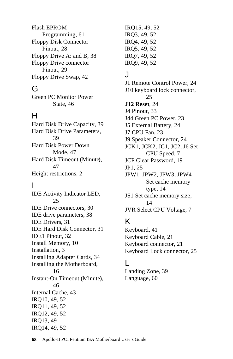Flash EPROM Programming, 61 Floppy Disk Connector Pinout, 28 Floppy Drive A: and B, 38 Floppy Drive connector Pinout, 29 Floppy Drive Swap, 42

### G

Green PC Monitor Power State, 46

### H

Hard Disk Drive Capacity, 39 Hard Disk Drive Parameters, 39 Hard Disk Power Down Mode, 47 Hard Disk Timeout (Minute**)**, 47 Height restrictions, 2

### I

IDE Activity Indicator LED, 25 IDE Drive connectors, 30 IDE drive parameters, 38 IDE Drivers, 31 IDE Hard Disk Connector, 31 IDE1 Pinout, 32 Install Memory, 10 Installation, 3 Installing Adapter Cards, 34 Installing the Motherboard, 16 Instant-On Timeout (Minute**)**, 46 Internal Cache, 43 IRQ10, 49, 52 IRQ11, 49, 52 IRQ12, 49, 52 IRQ13, 49 IRQ14, 49, 52

IRQ15, 49, 52 IRQ3, 49, 52 IRQ4, 49, 52 IRQ5, 49, 52 IRQ7, 49, 52 IRQ9, 49, 52

### J

J1 Remote Control Power, 24 J10 keyboard lock connector, 25 **J12 Reset**, 24 J4 Pinout, 33 J44 Green PC Power, 23 J5 External Battery, 24 J7 CPU Fan, 23 J9 Speaker Connector, 24 JCK1, JCK2, JC1, JC2, J6 Set CPU Speed, 7 JCP Clear Password, 19 JP1, 25 JPW1, JPW2, JPW3, JPW4 Set cache memory type, 14 JS1 Set cache memory size, 14 JVR Select CPU Voltage, 7

# K

Keyboard, 41 Keyboard Cable, 21 Keyboard connector, 21 Keyboard Lock connector, 25

#### L

Landing Zone, 39 Language, 60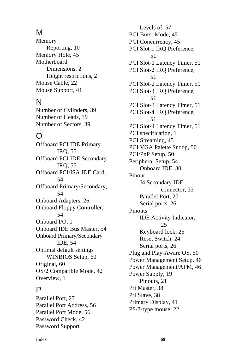## M

Memory Reporting, 10 Memory Hole, 45 Motherboard Dimensions, 2 Height restrictions, 2 Mouse Cable, 22 Mouse Support, 41

## N

Number of Cylinders, 39 Number of Heads, 39 Number of Sectors, 39

### O

Offboard PCI IDE Primary IRQ, 55 Offboard PCI IDE Secondary IRQ, 55 Offboard PCI/ISA IDE Card, 54 Offboard Primary/Secondary, 54 Onboard Adapters, 26 Onboard Floppy Controller, 54 Onboard I/O, 1 Onboard IDE Bus Master, 54 Onboard Primary/Secondary IDE, 54 Optimal default settings WINBIOS Setup, 60 Original, 60 OS/2 Compatible Mode, 42 Overview, 1

#### P

Parallel Port, 27 Parallel Port Address, 56 Parallel Port Mode, 56 Password Check, 42 Password Support

Levels of, 57 PCI Burst Mode, 45 PCI Concurrency, 45 PCI Slot-1 IRQ Preference, 51 PCI Slot-1 Latency Timer, 51 PCI Slot-2 IRQ Preference, 51 PCI Slot-2 Latency Timer, 51 PCI Slot-3 IRQ Preference, 51 PCI Slot-3 Latency Timer, 51 PCI Slot-4 IRQ Preference, 51 PCI Slot-4 Latency Timer, 51 PCI specification, 1 PCI Streaming, 45 PCI VGA Palette Snoop, 50 PCI/PnP Setup, 50 Peripheral Setup, 54 Onboard IDE, 30 Pinout J4 Secondary IDE connector, 33 Parallel Port, 27 Serial ports, 26 **Pinouts** IDE Activity Indicator, 25 Keyboard lock, 25 Reset Switch, 24 Serial ports, 26 Plug and Play-Aware OS, 50 Power Management Setup, 46 Power Management/APM, 46 Power Supply, 19 Pinouts, 21 Pri Master, 38 Pri Slave, 38 Primary Display, 41 PS/2-type mouse, 22